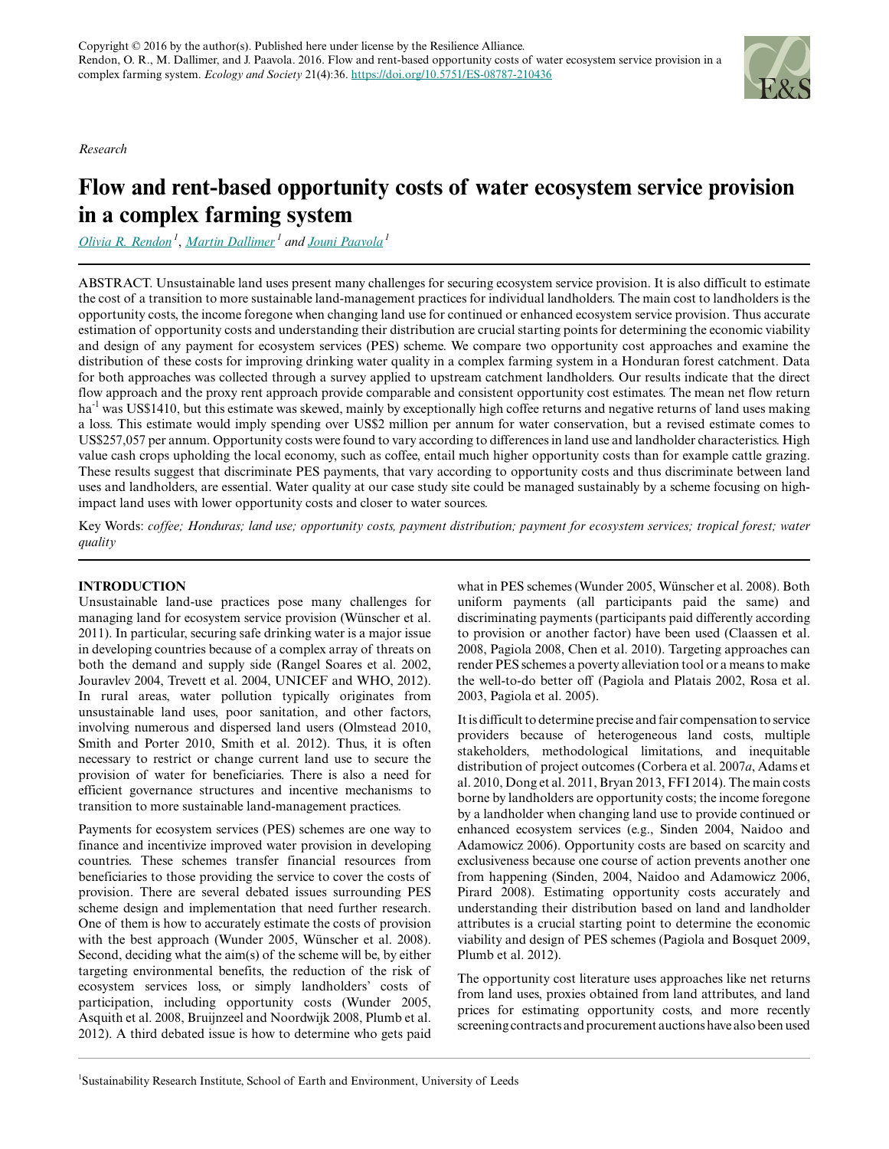*Research*



# **Flow and rent-based opportunity costs of water ecosystem service provision in a complex farming system**

*[Olivia R. Rendon](mailto:o.r.rendon@leeds.ac.uk)<sup>1</sup>* , *[Martin Dallimer](mailto:m.dallimer@leeds.ac.uk)<sup>1</sup> and [Jouni Paavola](mailto:j.paavola@leeds.ac.uk)<sup>1</sup>*

ABSTRACT. Unsustainable land uses present many challenges for securing ecosystem service provision. It is also difficult to estimate the cost of a transition to more sustainable land-management practices for individual landholders. The main cost to landholders is the opportunity costs, the income foregone when changing land use for continued or enhanced ecosystem service provision. Thus accurate estimation of opportunity costs and understanding their distribution are crucial starting points for determining the economic viability and design of any payment for ecosystem services (PES) scheme. We compare two opportunity cost approaches and examine the distribution of these costs for improving drinking water quality in a complex farming system in a Honduran forest catchment. Data for both approaches was collected through a survey applied to upstream catchment landholders. Our results indicate that the direct flow approach and the proxy rent approach provide comparable and consistent opportunity cost estimates. The mean net flow return ha<sup>-1</sup> was US\$1410, but this estimate was skewed, mainly by exceptionally high coffee returns and negative returns of land uses making a loss. This estimate would imply spending over US\$2 million per annum for water conservation, but a revised estimate comes to US\$257,057 per annum. Opportunity costs were found to vary according to differences in land use and landholder characteristics. High value cash crops upholding the local economy, such as coffee, entail much higher opportunity costs than for example cattle grazing. These results suggest that discriminate PES payments, that vary according to opportunity costs and thus discriminate between land uses and landholders, are essential. Water quality at our case study site could be managed sustainably by a scheme focusing on highimpact land uses with lower opportunity costs and closer to water sources.

Key Words: *coffee; Honduras; land use; opportunity costs, payment distribution; payment for ecosystem services; tropical forest; water quality*

# **INTRODUCTION**

Unsustainable land-use practices pose many challenges for managing land for ecosystem service provision (Wünscher et al. 2011). In particular, securing safe drinking water is a major issue in developing countries because of a complex array of threats on both the demand and supply side (Rangel Soares et al. 2002, Jouravlev 2004, Trevett et al. 2004, UNICEF and WHO, 2012). In rural areas, water pollution typically originates from unsustainable land uses, poor sanitation, and other factors, involving numerous and dispersed land users (Olmstead 2010, Smith and Porter 2010, Smith et al. 2012). Thus, it is often necessary to restrict or change current land use to secure the provision of water for beneficiaries. There is also a need for efficient governance structures and incentive mechanisms to transition to more sustainable land-management practices.

Payments for ecosystem services (PES) schemes are one way to finance and incentivize improved water provision in developing countries. These schemes transfer financial resources from beneficiaries to those providing the service to cover the costs of provision. There are several debated issues surrounding PES scheme design and implementation that need further research. One of them is how to accurately estimate the costs of provision with the best approach (Wunder 2005, Wünscher et al. 2008). Second, deciding what the aim(s) of the scheme will be, by either targeting environmental benefits, the reduction of the risk of ecosystem services loss, or simply landholders' costs of participation, including opportunity costs (Wunder 2005, Asquith et al. 2008, Bruijnzeel and Noordwijk 2008, Plumb et al. 2012). A third debated issue is how to determine who gets paid

what in PES schemes (Wunder 2005, Wünscher et al. 2008). Both uniform payments (all participants paid the same) and discriminating payments (participants paid differently according to provision or another factor) have been used (Claassen et al. 2008, Pagiola 2008, Chen et al. 2010). Targeting approaches can render PES schemes a poverty alleviation tool or a means to make the well-to-do better off (Pagiola and Platais 2002, Rosa et al. 2003, Pagiola et al. 2005).

It is difficult to determine precise and fair compensation to service providers because of heterogeneous land costs, multiple stakeholders, methodological limitations, and inequitable distribution of project outcomes (Corbera et al. 2007*a*, Adams et al. 2010, Dong et al. 2011, Bryan 2013, FFI 2014). The main costs borne by landholders are opportunity costs; the income foregone by a landholder when changing land use to provide continued or enhanced ecosystem services (e.g., Sinden 2004, Naidoo and Adamowicz 2006). Opportunity costs are based on scarcity and exclusiveness because one course of action prevents another one from happening (Sinden, 2004, Naidoo and Adamowicz 2006, Pirard 2008). Estimating opportunity costs accurately and understanding their distribution based on land and landholder attributes is a crucial starting point to determine the economic viability and design of PES schemes (Pagiola and Bosquet 2009, Plumb et al. 2012).

The opportunity cost literature uses approaches like net returns from land uses, proxies obtained from land attributes, and land prices for estimating opportunity costs, and more recently screening contracts and procurement auctions have also been used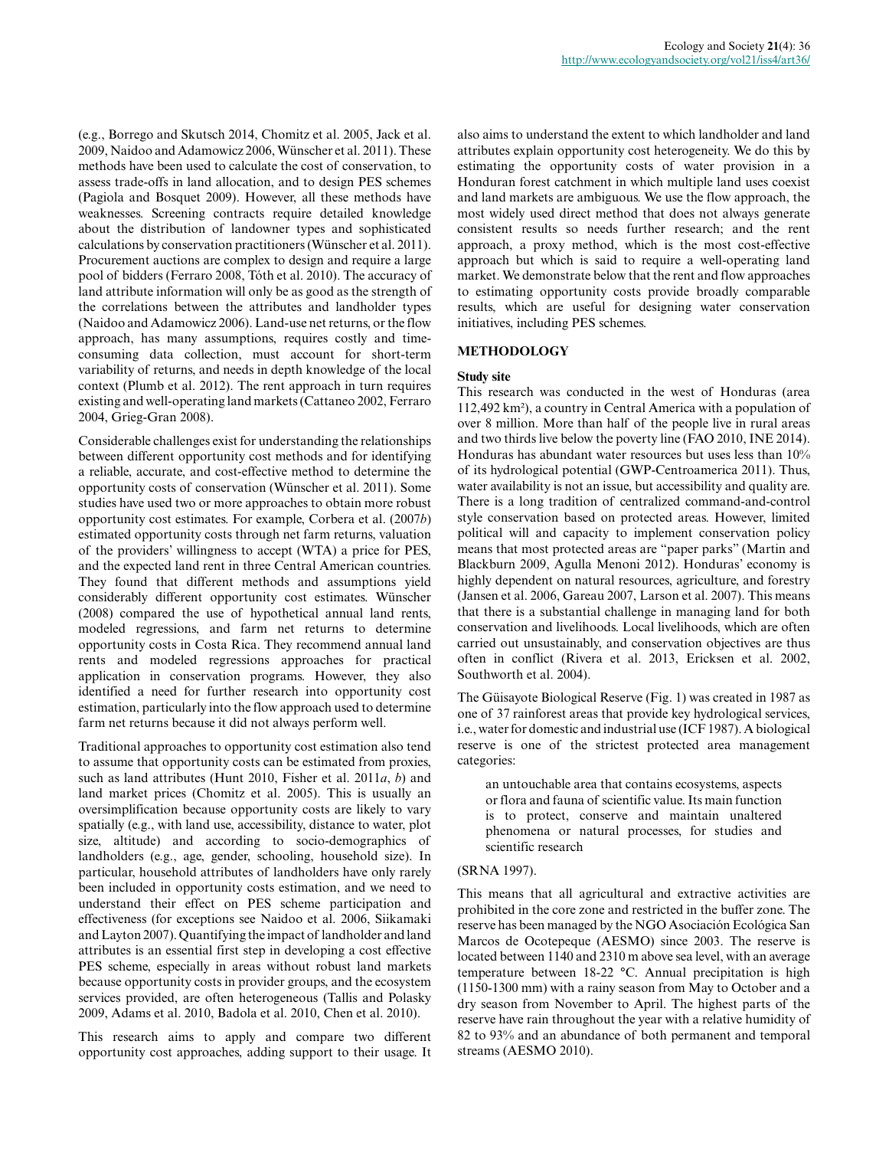(e.g., Borrego and Skutsch 2014, Chomitz et al. 2005, Jack et al. 2009, Naidoo and Adamowicz 2006, Wünscher et al. 2011). These methods have been used to calculate the cost of conservation, to assess trade-offs in land allocation, and to design PES schemes (Pagiola and Bosquet 2009). However, all these methods have weaknesses. Screening contracts require detailed knowledge about the distribution of landowner types and sophisticated calculations by conservation practitioners (Wünscher et al. 2011). Procurement auctions are complex to design and require a large pool of bidders (Ferraro 2008, Tóth et al. 2010). The accuracy of land attribute information will only be as good as the strength of the correlations between the attributes and landholder types (Naidoo and Adamowicz 2006). Land-use net returns, or the flow approach, has many assumptions, requires costly and timeconsuming data collection, must account for short-term variability of returns, and needs in depth knowledge of the local context (Plumb et al. 2012). The rent approach in turn requires existing and well-operating land markets (Cattaneo 2002, Ferraro 2004, Grieg-Gran 2008).

Considerable challenges exist for understanding the relationships between different opportunity cost methods and for identifying a reliable, accurate, and cost-effective method to determine the opportunity costs of conservation (Wünscher et al. 2011). Some studies have used two or more approaches to obtain more robust opportunity cost estimates. For example, Corbera et al. (2007*b*) estimated opportunity costs through net farm returns, valuation of the providers' willingness to accept (WTA) a price for PES, and the expected land rent in three Central American countries. They found that different methods and assumptions yield considerably different opportunity cost estimates. Wünscher (2008) compared the use of hypothetical annual land rents, modeled regressions, and farm net returns to determine opportunity costs in Costa Rica. They recommend annual land rents and modeled regressions approaches for practical application in conservation programs. However, they also identified a need for further research into opportunity cost estimation, particularly into the flow approach used to determine farm net returns because it did not always perform well.

Traditional approaches to opportunity cost estimation also tend to assume that opportunity costs can be estimated from proxies, such as land attributes (Hunt 2010, Fisher et al. 2011*a*, *b*) and land market prices (Chomitz et al. 2005). This is usually an oversimplification because opportunity costs are likely to vary spatially (e.g., with land use, accessibility, distance to water, plot size, altitude) and according to socio-demographics of landholders (e.g., age, gender, schooling, household size). In particular, household attributes of landholders have only rarely been included in opportunity costs estimation, and we need to understand their effect on PES scheme participation and effectiveness (for exceptions see Naidoo et al. 2006, Siikamaki and Layton 2007). Quantifying the impact of landholder and land attributes is an essential first step in developing a cost effective PES scheme, especially in areas without robust land markets because opportunity costs in provider groups, and the ecosystem services provided, are often heterogeneous (Tallis and Polasky 2009, Adams et al. 2010, Badola et al. 2010, Chen et al. 2010).

This research aims to apply and compare two different opportunity cost approaches, adding support to their usage. It also aims to understand the extent to which landholder and land attributes explain opportunity cost heterogeneity. We do this by estimating the opportunity costs of water provision in a Honduran forest catchment in which multiple land uses coexist and land markets are ambiguous. We use the flow approach, the most widely used direct method that does not always generate consistent results so needs further research; and the rent approach, a proxy method, which is the most cost-effective approach but which is said to require a well-operating land market. We demonstrate below that the rent and flow approaches to estimating opportunity costs provide broadly comparable results, which are useful for designing water conservation initiatives, including PES schemes.

# **METHODOLOGY**

# **Study site**

This research was conducted in the west of Honduras (area 112,492 km²), a country in Central America with a population of over 8 million. More than half of the people live in rural areas and two thirds live below the poverty line (FAO 2010, INE 2014). Honduras has abundant water resources but uses less than 10% of its hydrological potential (GWP-Centroamerica 2011). Thus, water availability is not an issue, but accessibility and quality are. There is a long tradition of centralized command-and-control style conservation based on protected areas. However, limited political will and capacity to implement conservation policy means that most protected areas are "paper parks" (Martin and Blackburn 2009, Agulla Menoni 2012). Honduras' economy is highly dependent on natural resources, agriculture, and forestry (Jansen et al. 2006, Gareau 2007, Larson et al. 2007). This means that there is a substantial challenge in managing land for both conservation and livelihoods. Local livelihoods, which are often carried out unsustainably, and conservation objectives are thus often in conflict (Rivera et al. 2013, Ericksen et al. 2002, Southworth et al. 2004).

The Güisayote Biological Reserve (Fig. 1) was created in 1987 as one of 37 rainforest areas that provide key hydrological services, i.e., water for domestic and industrial use (ICF 1987). A biological reserve is one of the strictest protected area management categories:

an untouchable area that contains ecosystems, aspects or flora and fauna of scientific value. Its main function is to protect, conserve and maintain unaltered phenomena or natural processes, for studies and scientific research

# (SRNA 1997).

This means that all agricultural and extractive activities are prohibited in the core zone and restricted in the buffer zone. The reserve has been managed by the NGO Asociación Ecológica San Marcos de Ocotepeque (AESMO) since 2003. The reserve is located between 1140 and 2310 m above sea level, with an average temperature between 18-22 °C. Annual precipitation is high (1150-1300 mm) with a rainy season from May to October and a dry season from November to April. The highest parts of the reserve have rain throughout the year with a relative humidity of 82 to 93% and an abundance of both permanent and temporal streams (AESMO 2010).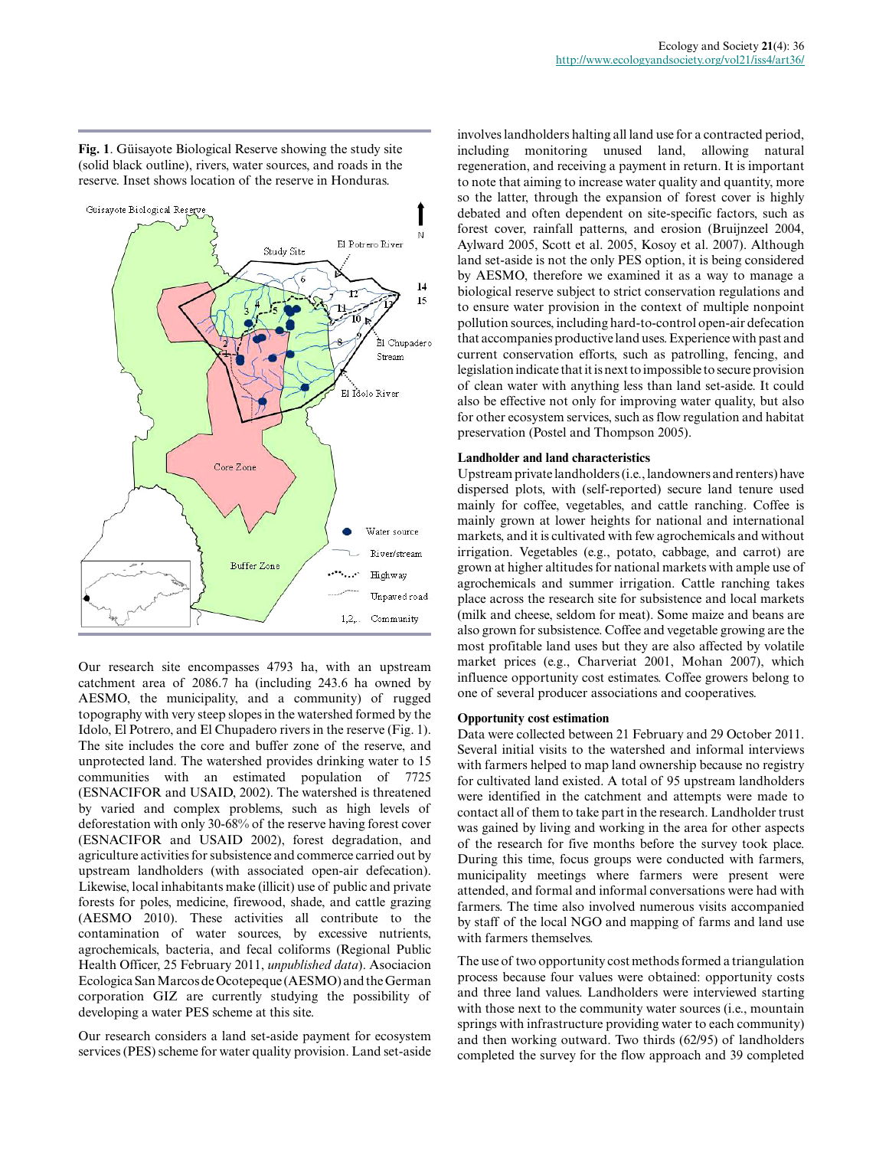**Fig. 1**. Güisayote Biological Reserve showing the study site (solid black outline), rivers, water sources, and roads in the reserve. Inset shows location of the reserve in Honduras.



Our research site encompasses 4793 ha, with an upstream catchment area of 2086.7 ha (including 243.6 ha owned by AESMO, the municipality, and a community) of rugged topography with very steep slopes in the watershed formed by the Idolo, El Potrero, and El Chupadero rivers in the reserve (Fig. 1). The site includes the core and buffer zone of the reserve, and unprotected land. The watershed provides drinking water to 15 communities with an estimated population of 7725 (ESNACIFOR and USAID, 2002). The watershed is threatened by varied and complex problems, such as high levels of deforestation with only 30-68% of the reserve having forest cover (ESNACIFOR and USAID 2002), forest degradation, and agriculture activities for subsistence and commerce carried out by upstream landholders (with associated open-air defecation). Likewise, local inhabitants make (illicit) use of public and private forests for poles, medicine, firewood, shade, and cattle grazing (AESMO 2010). These activities all contribute to the contamination of water sources, by excessive nutrients, agrochemicals, bacteria, and fecal coliforms (Regional Public Health Officer, 25 February 2011, *unpublished data*). Asociacion Ecologica San Marcos de Ocotepeque (AESMO) and the German corporation GIZ are currently studying the possibility of developing a water PES scheme at this site.

Our research considers a land set-aside payment for ecosystem services (PES) scheme for water quality provision. Land set-aside

involves landholders halting all land use for a contracted period, including monitoring unused land, allowing natural regeneration, and receiving a payment in return. It is important to note that aiming to increase water quality and quantity, more so the latter, through the expansion of forest cover is highly debated and often dependent on site-specific factors, such as forest cover, rainfall patterns, and erosion (Bruijnzeel 2004, Aylward 2005, Scott et al. 2005, Kosoy et al. 2007). Although land set-aside is not the only PES option, it is being considered by AESMO, therefore we examined it as a way to manage a biological reserve subject to strict conservation regulations and to ensure water provision in the context of multiple nonpoint pollution sources, including hard-to-control open-air defecation that accompanies productive land uses. Experience with past and current conservation efforts, such as patrolling, fencing, and legislation indicate that it is next to impossible to secure provision of clean water with anything less than land set-aside. It could also be effective not only for improving water quality, but also for other ecosystem services, such as flow regulation and habitat preservation (Postel and Thompson 2005).

# **Landholder and land characteristics**

Upstream private landholders (i.e., landowners and renters) have dispersed plots, with (self-reported) secure land tenure used mainly for coffee, vegetables, and cattle ranching. Coffee is mainly grown at lower heights for national and international markets, and it is cultivated with few agrochemicals and without irrigation. Vegetables (e.g., potato, cabbage, and carrot) are grown at higher altitudes for national markets with ample use of agrochemicals and summer irrigation. Cattle ranching takes place across the research site for subsistence and local markets (milk and cheese, seldom for meat). Some maize and beans are also grown for subsistence. Coffee and vegetable growing are the most profitable land uses but they are also affected by volatile market prices (e.g., Charveriat 2001, Mohan 2007), which influence opportunity cost estimates. Coffee growers belong to one of several producer associations and cooperatives.

# **Opportunity cost estimation**

Data were collected between 21 February and 29 October 2011. Several initial visits to the watershed and informal interviews with farmers helped to map land ownership because no registry for cultivated land existed. A total of 95 upstream landholders were identified in the catchment and attempts were made to contact all of them to take part in the research. Landholder trust was gained by living and working in the area for other aspects of the research for five months before the survey took place. During this time, focus groups were conducted with farmers, municipality meetings where farmers were present were attended, and formal and informal conversations were had with farmers. The time also involved numerous visits accompanied by staff of the local NGO and mapping of farms and land use with farmers themselves.

The use of two opportunity cost methods formed a triangulation process because four values were obtained: opportunity costs and three land values. Landholders were interviewed starting with those next to the community water sources (i.e., mountain springs with infrastructure providing water to each community) and then working outward. Two thirds (62/95) of landholders completed the survey for the flow approach and 39 completed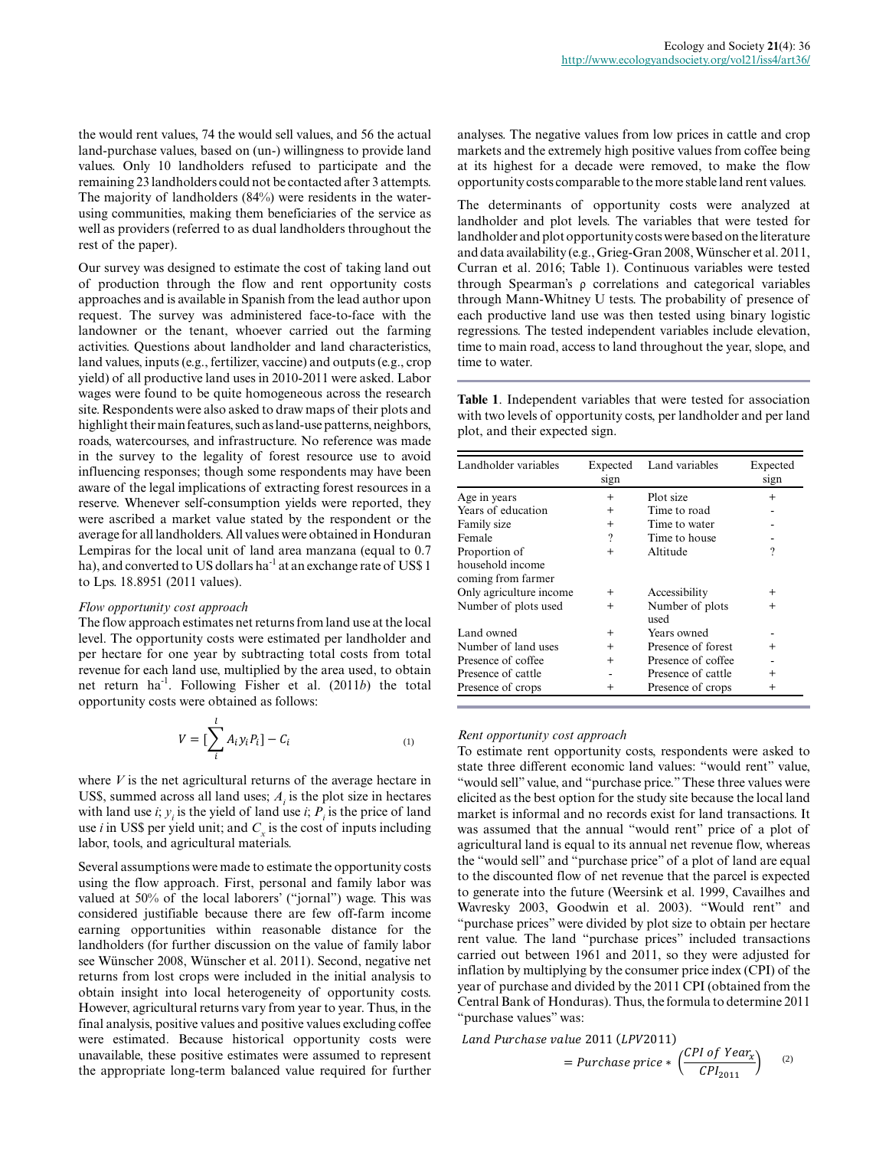the would rent values, 74 the would sell values, and 56 the actual land-purchase values, based on (un-) willingness to provide land values. Only 10 landholders refused to participate and the remaining 23 landholders could not be contacted after 3 attempts. The majority of landholders (84%) were residents in the waterusing communities, making them beneficiaries of the service as well as providers (referred to as dual landholders throughout the rest of the paper).

Our survey was designed to estimate the cost of taking land out of production through the flow and rent opportunity costs approaches and is available in Spanish from the lead author upon request. The survey was administered face-to-face with the landowner or the tenant, whoever carried out the farming activities. Questions about landholder and land characteristics, land values, inputs (e.g., fertilizer, vaccine) and outputs (e.g., crop yield) of all productive land uses in 2010-2011 were asked. Labor wages were found to be quite homogeneous across the research site. Respondents were also asked to draw maps of their plots and highlight their main features, such as land-use patterns, neighbors, roads, watercourses, and infrastructure. No reference was made in the survey to the legality of forest resource use to avoid influencing responses; though some respondents may have been aware of the legal implications of extracting forest resources in a reserve. Whenever self-consumption yields were reported, they were ascribed a market value stated by the respondent or the average for all landholders. All values were obtained in Honduran Lempiras for the local unit of land area manzana (equal to 0.7 ha), and converted to US dollars ha<sup>-1</sup> at an exchange rate of US\$ 1 to Lps. 18.8951 (2011 values).

### *Flow opportunity cost approach*

The flow approach estimates net returns from land use at the local level. The opportunity costs were estimated per landholder and per hectare for one year by subtracting total costs from total revenue for each land use, multiplied by the area used, to obtain net return ha-1. Following Fisher et al. (2011*b*) the total opportunity costs were obtained as follows:

$$
V = \left[\sum_{i}^{l} A_i y_i P_i\right] - C_i \tag{1}
$$

US\$, summed across all land uses;  $A_i$  is the plot size in hectares which the set  $s, s, t$  and yield unit; and  $C_x$  is the cost of inputs including with land use *i*;  $y_i$  is the yield of land use *i*;  $P_i$  is the price of land where *V* is the net agricultural returns of the average hectare in labor, tools, and agricultural materials.

Several assumptions were made to estimate the opportunity costs using the flow approach. First, personal and family labor was valued at 50% of the local laborers' ("jornal") wage. This was considered justifiable because there are few off-farm income earning opportunities within reasonable distance for the landholders (for further discussion on the value of family labor see Wünscher 2008, Wünscher et al. 2011). Second, negative net returns from lost crops were included in the initial analysis to obtain insight into local heterogeneity of opportunity costs. However, agricultural returns vary from year to year. Thus, in the final analysis, positive values and positive values excluding coffee were estimated. Because historical opportunity costs were unavailable, these positive estimates were assumed to represent the appropriate long-term balanced value required for further

analyses. The negative values from low prices in cattle and crop markets and the extremely high positive values from coffee being at its highest for a decade were removed, to make the flow opportunity costs comparable to the more stable land rent values.

The determinants of opportunity costs were analyzed at landholder and plot levels. The variables that were tested for landholder and plot opportunity costs were based on the literature and data availability (e.g., Grieg-Gran 2008, Wünscher et al. 2011, Curran et al. 2016; Table 1). Continuous variables were tested through Spearman's ρ correlations and categorical variables through Mann-Whitney U tests. The probability of presence of each productive land use was then tested using binary logistic regressions. The tested independent variables include elevation, time to main road, access to land throughout the year, slope, and time to water.

**Table 1**. Independent variables that were tested for association with two levels of opportunity costs, per landholder and per land plot, and their expected sign.

| Landholder variables                   | Expected<br>sign | Land variables          | Expected<br>sign |
|----------------------------------------|------------------|-------------------------|------------------|
| Age in years                           | $\overline{+}$   | Plot size               | $^{+}$           |
| Years of education                     | $\overline{+}$   | Time to road            |                  |
| Family size                            | $\overline{+}$   | Time to water           |                  |
| Female                                 | ?                | Time to house           |                  |
| Proportion of                          | $\overline{+}$   | Altitude                | 9                |
| household income<br>coming from farmer |                  |                         |                  |
| Only agriculture income                | $\,{}^{+}\,$     | Accessibility           | $^{+}$           |
| Number of plots used                   | $\overline{+}$   | Number of plots<br>used | $\div$           |
| Land owned                             | $\overline{+}$   | Years owned             |                  |
| Number of land uses                    | $^{+}$           | Presence of forest      | $^{+}$           |
| Presence of coffee                     | $\overline{+}$   | Presence of coffee      |                  |
| Presence of cattle                     |                  | Presence of cattle      | $^{+}$           |
| Presence of crops                      | $\,{}^+$         | Presence of crops       | $\,{}^+$         |

# *Rent opportunity cost approach*

To estimate rent opportunity costs, respondents were asked to state three different economic land values: "would rent" value, "would sell" value, and "purchase price." These three values were elicited as the best option for the study site because the local land market is informal and no records exist for land transactions. It was assumed that the annual "would rent" price of a plot of agricultural land is equal to its annual net revenue flow, whereas the "would sell" and "purchase price" of a plot of land are equal to the discounted flow of net revenue that the parcel is expected to generate into the future (Weersink et al. 1999, Cavailhes and Wavresky 2003, Goodwin et al. 2003). "Would rent" and "purchase prices" were divided by plot size to obtain per hectare rent value. The land "purchase prices" included transactions carried out between 1961 and 2011, so they were adjusted for inflation by multiplying by the consumer price index (CPI) of the  year of purchase and divided by the 2011 CPI (obtained from the Central Bank of Honduras). Thus, the formula to determine 2011 "purchase values" was:

Land Purchase value 2011 (LPV2011)

$$
= Purchase\ price * \left(\frac{CPI\ of\ Year_x}{CPI_{2011}}\right) \qquad {}^{(2)}
$$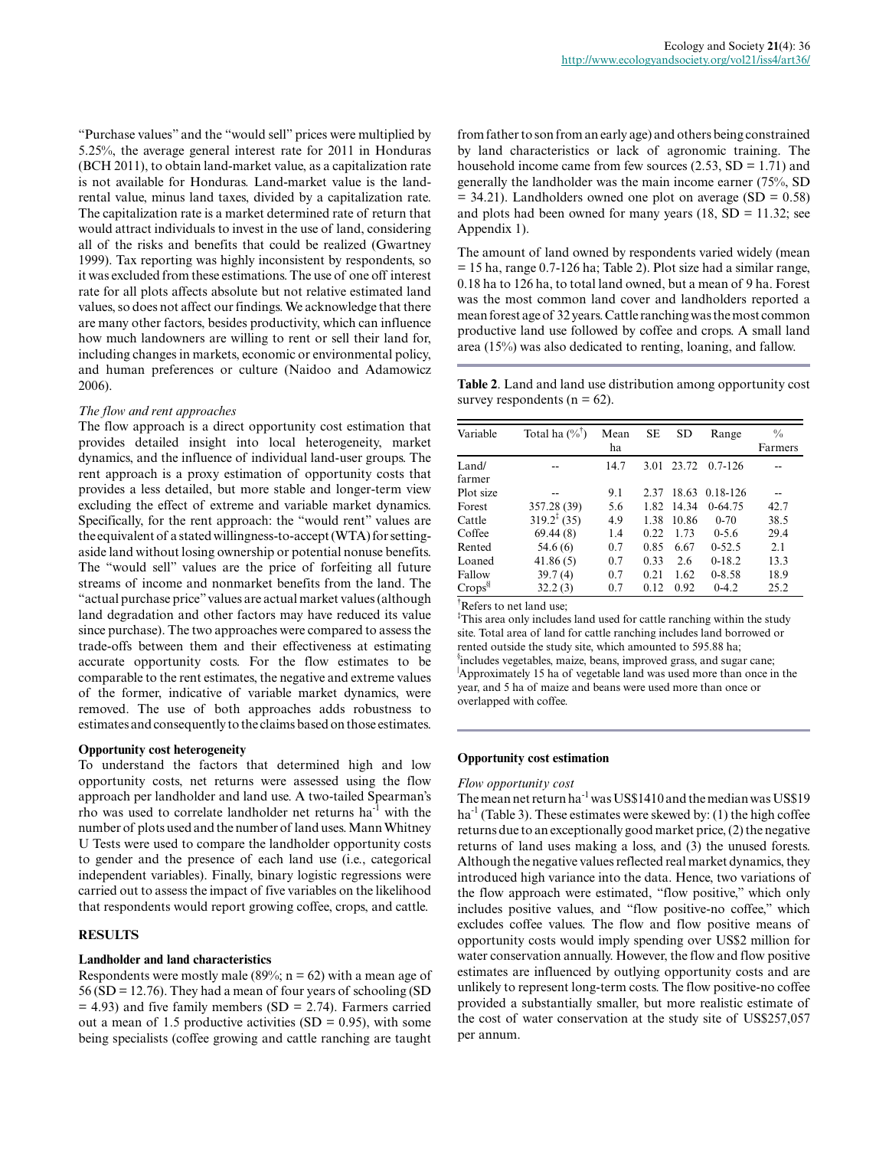"Purchase values" and the "would sell" prices were multiplied by 5.25%, the average general interest rate for 2011 in Honduras (BCH 2011), to obtain land-market value, as a capitalization rate is not available for Honduras. Land-market value is the landrental value, minus land taxes, divided by a capitalization rate. The capitalization rate is a market determined rate of return that would attract individuals to invest in the use of land, considering all of the risks and benefits that could be realized (Gwartney 1999). Tax reporting was highly inconsistent by respondents, so it was excluded from these estimations. The use of one off interest rate for all plots affects absolute but not relative estimated land values, so does not affect our findings. We acknowledge that there are many other factors, besides productivity, which can influence how much landowners are willing to rent or sell their land for, including changes in markets, economic or environmental policy, and human preferences or culture (Naidoo and Adamowicz 2006).

## *The flow and rent approaches*

The flow approach is a direct opportunity cost estimation that provides detailed insight into local heterogeneity, market dynamics, and the influence of individual land-user groups. The rent approach is a proxy estimation of opportunity costs that provides a less detailed, but more stable and longer-term view excluding the effect of extreme and variable market dynamics. Specifically, for the rent approach: the "would rent" values are the equivalent of a stated willingness-to-accept (WTA) for settingaside land without losing ownership or potential nonuse benefits. The "would sell" values are the price of forfeiting all future streams of income and nonmarket benefits from the land. The "actual purchase price" values are actual market values (although land degradation and other factors may have reduced its value since purchase). The two approaches were compared to assess the trade-offs between them and their effectiveness at estimating accurate opportunity costs. For the flow estimates to be comparable to the rent estimates, the negative and extreme values of the former, indicative of variable market dynamics, were removed. The use of both approaches adds robustness to estimates and consequently to the claims based on those estimates.

#### **Opportunity cost heterogeneity**

To understand the factors that determined high and low opportunity costs, net returns were assessed using the flow approach per landholder and land use. A two-tailed Spearman's rho was used to correlate landholder net returns ha<sup>-1</sup> with the number of plots used and the number of land uses. Mann Whitney U Tests were used to compare the landholder opportunity costs to gender and the presence of each land use (i.e., categorical independent variables). Finally, binary logistic regressions were carried out to assess the impact of five variables on the likelihood that respondents would report growing coffee, crops, and cattle.

# **RESULTS**

# **Landholder and land characteristics**

Respondents were mostly male (89%;  $n = 62$ ) with a mean age of 56 (SD = 12.76). They had a mean of four years of schooling (SD  $= 4.93$ ) and five family members (SD  $= 2.74$ ). Farmers carried out a mean of 1.5 productive activities  $(SD = 0.95)$ , with some being specialists (coffee growing and cattle ranching are taught from father to son from an early age) and others being constrained by land characteristics or lack of agronomic training. The household income came from few sources  $(2.53, SD = 1.71)$  and generally the landholder was the main income earner (75%, SD  $= 34.21$ ). Landholders owned one plot on average (SD  $= 0.58$ ) and plots had been owned for many years  $(18, SD = 11.32;$  see Appendix 1).

The amount of land owned by respondents varied widely (mean  $= 15$  ha, range 0.7-126 ha; Table 2). Plot size had a similar range, 0.18 ha to 126 ha, to total land owned, but a mean of 9 ha. Forest was the most common land cover and landholders reported a mean forest age of 32 years. Cattle ranching was the most common productive land use followed by coffee and crops. A small land area (15%) was also dedicated to renting, loaning, and fallow.

**Table 2**. Land and land use distribution among opportunity cost survey respondents ( $n = 62$ ).

| Variable     | Total ha $(\%^{\dagger})$ | Mean | <b>SE</b> | <b>SD</b> | Range        | $\frac{0}{0}$ |
|--------------|---------------------------|------|-----------|-----------|--------------|---------------|
|              |                           | ha   |           |           |              | Farmers       |
| Land/        |                           | 14.7 | 3.01      | 23.72     | $0.7 - 126$  |               |
| farmer       |                           |      |           |           |              |               |
| Plot size    | --                        | 9.1  | 2.37      | 18.63     | $0.18 - 126$ |               |
| Forest       | 357.28 (39)               | 5.6  | 1.82      | 14.34     | $0-64.75$    | 42.7          |
| Cattle       | $319.2^{\ddagger}$ (35)   | 4.9  | 1.38      | 10.86     | $0 - 70$     | 38.5          |
| Coffee       | 69.44(8)                  | 1.4  | 0.22      | 1.73      | $0 - 5.6$    | 29.4          |
| Rented       | 54.6 (6)                  | 0.7  | 0.85      | 6.67      | $0-52.5$     | 2.1           |
| Loaned       | 41.86(5)                  | 0.7  | 0.33      | 2.6       | $0-18.2$     | 13.3          |
| Fallow       | 39.7(4)                   | 0.7  | 0.21      | 1.62      | $0 - 8.58$   | 18.9          |
| $Crops^{\S}$ | 32.2(3)                   | 0.7  | 0.12      | 0.92      | $0-4.2$      | 25.2          |

<sup>†</sup>Refers to net land use:

‡ This area only includes land used for cattle ranching within the study site. Total area of land for cattle ranching includes land borrowed or rented outside the study site, which amounted to 595.88 ha; § includes vegetables, maize, beans, improved grass, and sugar cane; <sup>|</sup>Approximately 15 ha of vegetable land was used more than once in the year, and 5 ha of maize and beans were used more than once or overlapped with coffee.

#### **Opportunity cost estimation**

#### *Flow opportunity cost*

The mean net return ha<sup>-1</sup> was US\$1410 and the median was US\$19  $ha<sup>-1</sup>$  (Table 3). These estimates were skewed by: (1) the high coffee returns due to an exceptionally good market price, (2) the negative returns of land uses making a loss, and (3) the unused forests. Although the negative values reflected real market dynamics, they introduced high variance into the data. Hence, two variations of the flow approach were estimated, "flow positive," which only includes positive values, and "flow positive-no coffee," which excludes coffee values. The flow and flow positive means of opportunity costs would imply spending over US\$2 million for water conservation annually. However, the flow and flow positive estimates are influenced by outlying opportunity costs and are unlikely to represent long-term costs. The flow positive-no coffee provided a substantially smaller, but more realistic estimate of the cost of water conservation at the study site of US\$257,057 per annum.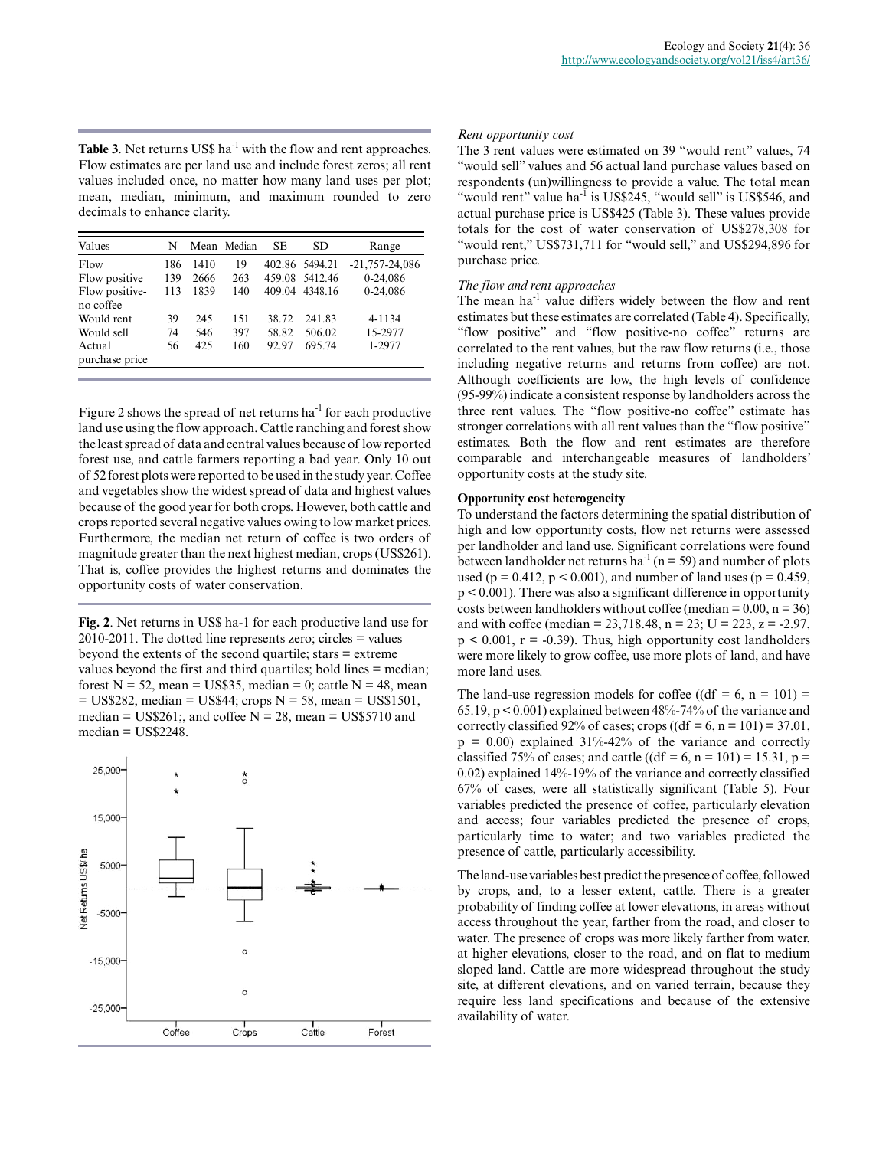Table 3. Net returns US\$ ha<sup>-1</sup> with the flow and rent approaches. Flow estimates are per land use and include forest zeros; all rent values included once, no matter how many land uses per plot; mean, median, minimum, and maximum rounded to zero decimals to enhance clarity.

| Values         | N   |      | Mean Median | SE.    | <b>SD</b>      | Range            |
|----------------|-----|------|-------------|--------|----------------|------------------|
| Flow           | 186 | 1410 | 19          |        | 402.86 5494.21 | $-21,757-24,086$ |
| Flow positive  | 139 | 2666 | 263         | 459.08 | 5412.46        | 0-24,086         |
| Flow positive- | 113 | 1839 | 140         | 409.04 | 4348.16        | 0-24.086         |
| no coffee      |     |      |             |        |                |                  |
| Would rent     | 39  | 245  | 151         | 38.72  | 241.83         | 4-1134           |
| Would sell     | 74  | 546  | 397         | 58.82  | 506.02         | 15-2977          |
| Actual         | 56  | 425  | 160         | 92.97  | 695.74         | 1-2977           |
| purchase price |     |      |             |        |                |                  |

Figure 2 shows the spread of net returns  $ha^{-1}$  for each productive land use using the flow approach. Cattle ranching and forest show the least spread of data and central values because of low reported forest use, and cattle farmers reporting a bad year. Only 10 out of 52 forest plots were reported to be used in the study year. Coffee and vegetables show the widest spread of data and highest values because of the good year for both crops. However, both cattle and crops reported several negative values owing to low market prices. Furthermore, the median net return of coffee is two orders of magnitude greater than the next highest median, crops (US\$261). That is, coffee provides the highest returns and dominates the opportunity costs of water conservation.

**Fig. 2**. Net returns in US\$ ha-1 for each productive land use for  $2010-2011$ . The dotted line represents zero; circles  $=$  values beyond the extents of the second quartile; stars = extreme values beyond the first and third quartiles; bold lines = median; forest  $N = 52$ , mean = US\$35, median = 0; cattle  $N = 48$ , mean  $=$  US\$282, median = US\$44; crops N = 58, mean = US\$1501, median =  $US$261$ ;, and coffee N = 28, mean =  $US$5710$  and  $median = US$2248.$ 



# *Rent opportunity cost*

The 3 rent values were estimated on 39 "would rent" values, 74 "would sell" values and 56 actual land purchase values based on respondents (un)willingness to provide a value. The total mean "would rent" value ha<sup>-1</sup> is US\$245, "would sell" is US\$546, and actual purchase price is US\$425 (Table 3). These values provide totals for the cost of water conservation of US\$278,308 for "would rent," US\$731,711 for "would sell," and US\$294,896 for purchase price.

# *The flow and rent approaches*

The mean ha<sup>-1</sup> value differs widely between the flow and rent estimates but these estimates are correlated (Table 4). Specifically, "flow positive" and "flow positive-no coffee" returns are correlated to the rent values, but the raw flow returns (i.e., those including negative returns and returns from coffee) are not. Although coefficients are low, the high levels of confidence (95-99%) indicate a consistent response by landholders across the three rent values. The "flow positive-no coffee" estimate has stronger correlations with all rent values than the "flow positive" estimates. Both the flow and rent estimates are therefore comparable and interchangeable measures of landholders' opportunity costs at the study site.

# **Opportunity cost heterogeneity**

To understand the factors determining the spatial distribution of high and low opportunity costs, flow net returns were assessed per landholder and land use. Significant correlations were found between landholder net returns ha<sup>-1</sup> ( $n = 59$ ) and number of plots used ( $p = 0.412$ ,  $p < 0.001$ ), and number of land uses ( $p = 0.459$ , p < 0.001). There was also a significant difference in opportunity costs between landholders without coffee (median =  $0.00$ , n =  $36$ ) and with coffee (median = 23,718.48, n = 23; U = 223, z = -2.97,  $p \le 0.001$ ,  $r = -0.39$ ). Thus, high opportunity cost landholders were more likely to grow coffee, use more plots of land, and have more land uses.

The land-use regression models for coffee ((df = 6, n = 101) = 65.19, p < 0.001) explained between 48%-74% of the variance and correctly classified 92% of cases; crops  $((df = 6, n = 101) = 37.01,$  $p = 0.00$ ) explained 31%-42% of the variance and correctly classified 75% of cases; and cattle ((df = 6, n = 101) = 15.31, p = 0.02) explained 14%-19% of the variance and correctly classified 67% of cases, were all statistically significant (Table 5). Four variables predicted the presence of coffee, particularly elevation and access; four variables predicted the presence of crops, particularly time to water; and two variables predicted the presence of cattle, particularly accessibility.

The land-use variables best predict the presence of coffee, followed by crops, and, to a lesser extent, cattle. There is a greater probability of finding coffee at lower elevations, in areas without access throughout the year, farther from the road, and closer to water. The presence of crops was more likely farther from water, at higher elevations, closer to the road, and on flat to medium sloped land. Cattle are more widespread throughout the study site, at different elevations, and on varied terrain, because they require less land specifications and because of the extensive availability of water.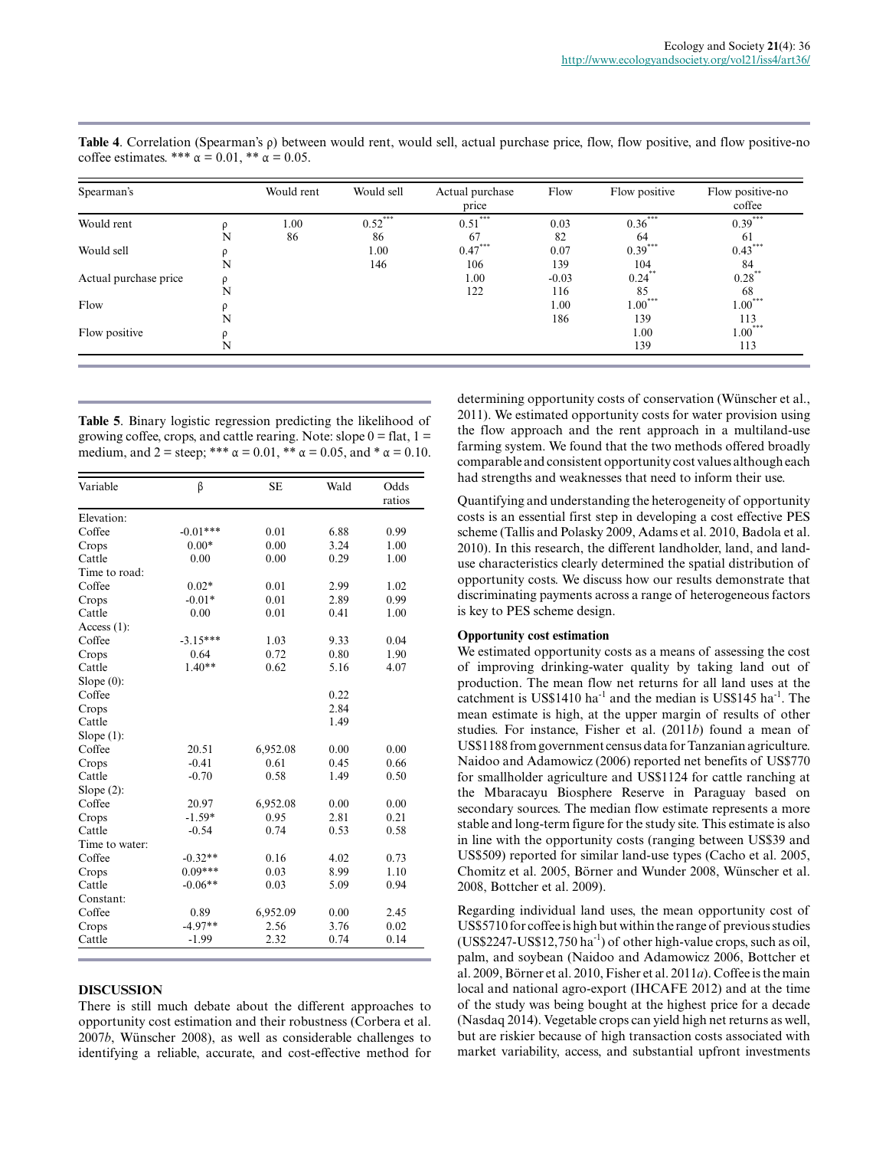| Spearman's            |   | Would rent | Would sell | Actual purchase<br>price | Flow    | Flow positive | Flow positive-no<br>coffee |
|-----------------------|---|------------|------------|--------------------------|---------|---------------|----------------------------|
| Would rent            |   | 1.00       | $0.52***$  | $0.51***$                | 0.03    | $0.36***$     | $0.39***$                  |
|                       | N | 86         | 86         | 67                       | 82      | 64            |                            |
| Would sell            |   |            | 1.00       | $0.47***$                | 0.07    | $0.39***$     | $61$ <sub>0.43</sub> ***   |
| N                     |   |            | 146        | 106                      | 139     | 104           | 84                         |
| Actual purchase price |   |            |            | 1.00                     | $-0.03$ | $0.24$ **     | $0.28$ **                  |
|                       | N |            |            | 122                      | 116     | 85            | 68                         |
| Flow                  |   |            |            |                          | 1.00    | $1.00***$     | $1.00***$                  |
| N                     |   |            |            |                          | 186     | 139           | 113                        |
| Flow positive<br>N    |   |            |            |                          |         | 1.00          | $1.00***$                  |
|                       |   |            |            |                          |         | 139           | 113                        |

**Table 4**. Correlation (Spearman's ρ) between would rent, would sell, actual purchase price, flow, flow positive, and flow positive-no coffee estimates. \*\*\*  $\alpha = 0.01$ , \*\*  $\alpha = 0.05$ .

**Table 5**. Binary logistic regression predicting the likelihood of growing coffee, crops, and cattle rearing. Note: slope  $0 = \text{flat}, 1 =$ medium, and  $2 =$  steep; \*\*\*  $\alpha = 0.01$ , \*\*  $\alpha = 0.05$ , and \*  $\alpha = 0.10$ .

| Variable       | β          | <b>SE</b> | Wald | Odds   |
|----------------|------------|-----------|------|--------|
|                |            |           |      | ratios |
| Elevation:     |            |           |      |        |
| Coffee         | $-0.01***$ | 0.01      | 6.88 | 0.99   |
| Crops          | $0.00*$    | 0.00      | 3.24 | 1.00   |
| Cattle         | 0.00       | 0.00      | 0.29 | 1.00   |
| Time to road:  |            |           |      |        |
| Coffee         | $0.02*$    | 0.01      | 2.99 | 1.02   |
| Crops          | $-0.01*$   | 0.01      | 2.89 | 0.99   |
| Cattle         | 0.00       | 0.01      | 0.41 | 1.00   |
| Access $(1)$ : |            |           |      |        |
| Coffee         | $-3.15***$ | 1.03      | 9.33 | 0.04   |
| Crops          | 0.64       | 0.72      | 0.80 | 1.90   |
| Cattle         | $1.40**$   | 0.62      | 5.16 | 4.07   |
| Slope $(0)$ :  |            |           |      |        |
| Coffee         |            |           | 0.22 |        |
| Crops          |            |           | 2.84 |        |
| Cattle         |            |           | 1.49 |        |
| Slope $(1)$ :  |            |           |      |        |
| Coffee         | 20.51      | 6,952.08  | 0.00 | 0.00   |
| Crops          | $-0.41$    | 0.61      | 0.45 | 0.66   |
| Cattle         | $-0.70$    | 0.58      | 1.49 | 0.50   |
| Slope $(2)$ :  |            |           |      |        |
| Coffee         | 20.97      | 6,952.08  | 0.00 | 0.00   |
| Crops          | $-1.59*$   | 0.95      | 2.81 | 0.21   |
| Cattle         | $-0.54$    | 0.74      | 0.53 | 0.58   |
| Time to water: |            |           |      |        |
| Coffee         | $-0.32**$  | 0.16      | 4.02 | 0.73   |
| Crops          | $0.09***$  | 0.03      | 8.99 | 1.10   |
| Cattle         | $-0.06**$  | 0.03      | 5.09 | 0.94   |
| Constant:      |            |           |      |        |
| Coffee         | 0.89       | 6,952.09  | 0.00 | 2.45   |
| Crops          | $-4.97**$  | 2.56      | 3.76 | 0.02   |
| Cattle         | $-1.99$    | 2.32      | 0.74 | 0.14   |

# **DISCUSSION**

There is still much debate about the different approaches to opportunity cost estimation and their robustness (Corbera et al. 2007*b*, Wünscher 2008), as well as considerable challenges to identifying a reliable, accurate, and cost-effective method for determining opportunity costs of conservation (Wünscher et al., 2011). We estimated opportunity costs for water provision using the flow approach and the rent approach in a multiland-use farming system. We found that the two methods offered broadly comparable and consistent opportunity cost values although each had strengths and weaknesses that need to inform their use.

Quantifying and understanding the heterogeneity of opportunity costs is an essential first step in developing a cost effective PES scheme (Tallis and Polasky 2009, Adams et al. 2010, Badola et al. 2010). In this research, the different landholder, land, and landuse characteristics clearly determined the spatial distribution of opportunity costs. We discuss how our results demonstrate that discriminating payments across a range of heterogeneous factors is key to PES scheme design.

# **Opportunity cost estimation**

We estimated opportunity costs as a means of assessing the cost of improving drinking-water quality by taking land out of production. The mean flow net returns for all land uses at the catchment is US\$1410 ha<sup>-1</sup> and the median is US\$145 ha<sup>-1</sup>. The mean estimate is high, at the upper margin of results of other studies. For instance, Fisher et al. (2011*b*) found a mean of US\$1188 from government census data for Tanzanian agriculture. Naidoo and Adamowicz (2006) reported net benefits of US\$770 for smallholder agriculture and US\$1124 for cattle ranching at the Mbaracayu Biosphere Reserve in Paraguay based on secondary sources. The median flow estimate represents a more stable and long-term figure for the study site. This estimate is also in line with the opportunity costs (ranging between US\$39 and US\$509) reported for similar land-use types (Cacho et al. 2005, Chomitz et al. 2005, Börner and Wunder 2008, Wünscher et al. 2008, Bottcher et al. 2009).

Regarding individual land uses, the mean opportunity cost of US\$5710 for coffee is high but within the range of previous studies (US\$2247-US\$12,750 ha-1) of other high-value crops, such as oil, palm, and soybean (Naidoo and Adamowicz 2006, Bottcher et al. 2009, Börner et al. 2010, Fisher et al. 2011*a*). Coffee is the main local and national agro-export (IHCAFE 2012) and at the time of the study was being bought at the highest price for a decade (Nasdaq 2014). Vegetable crops can yield high net returns as well, but are riskier because of high transaction costs associated with market variability, access, and substantial upfront investments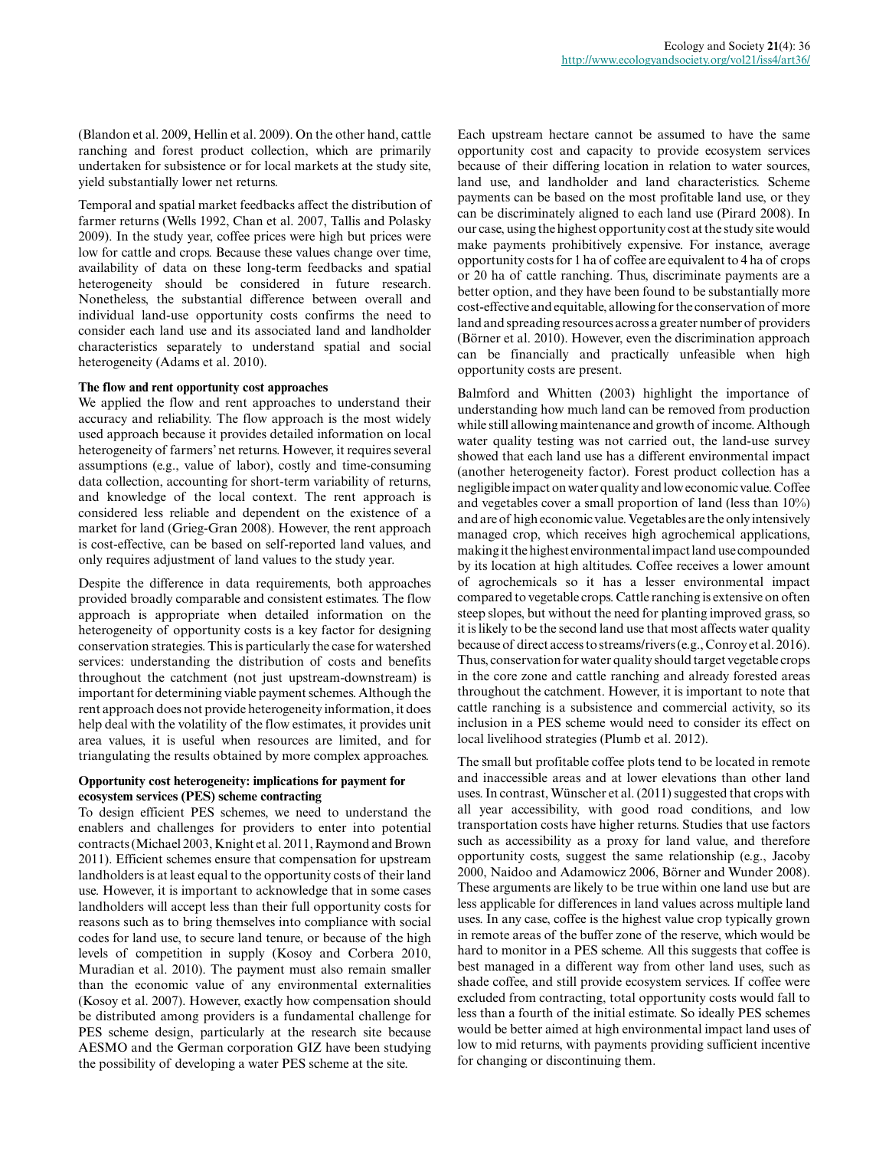(Blandon et al. 2009, Hellin et al. 2009). On the other hand, cattle ranching and forest product collection, which are primarily undertaken for subsistence or for local markets at the study site, yield substantially lower net returns.

Temporal and spatial market feedbacks affect the distribution of farmer returns (Wells 1992, Chan et al. 2007, Tallis and Polasky 2009). In the study year, coffee prices were high but prices were low for cattle and crops. Because these values change over time, availability of data on these long-term feedbacks and spatial heterogeneity should be considered in future research. Nonetheless, the substantial difference between overall and individual land-use opportunity costs confirms the need to consider each land use and its associated land and landholder characteristics separately to understand spatial and social heterogeneity (Adams et al. 2010).

# **The flow and rent opportunity cost approaches**

We applied the flow and rent approaches to understand their accuracy and reliability. The flow approach is the most widely used approach because it provides detailed information on local heterogeneity of farmers' net returns. However, it requires several assumptions (e.g., value of labor), costly and time-consuming data collection, accounting for short-term variability of returns, and knowledge of the local context. The rent approach is considered less reliable and dependent on the existence of a market for land (Grieg-Gran 2008). However, the rent approach is cost-effective, can be based on self-reported land values, and only requires adjustment of land values to the study year.

Despite the difference in data requirements, both approaches provided broadly comparable and consistent estimates. The flow approach is appropriate when detailed information on the heterogeneity of opportunity costs is a key factor for designing conservation strategies. This is particularly the case for watershed services: understanding the distribution of costs and benefits throughout the catchment (not just upstream-downstream) is important for determining viable payment schemes. Although the rent approach does not provide heterogeneity information, it does help deal with the volatility of the flow estimates, it provides unit area values, it is useful when resources are limited, and for triangulating the results obtained by more complex approaches.

# **Opportunity cost heterogeneity: implications for payment for ecosystem services (PES) scheme contracting**

To design efficient PES schemes, we need to understand the enablers and challenges for providers to enter into potential contracts (Michael 2003, Knight et al. 2011, Raymond and Brown 2011). Efficient schemes ensure that compensation for upstream landholders is at least equal to the opportunity costs of their land use. However, it is important to acknowledge that in some cases landholders will accept less than their full opportunity costs for reasons such as to bring themselves into compliance with social codes for land use, to secure land tenure, or because of the high levels of competition in supply (Kosoy and Corbera 2010, Muradian et al. 2010). The payment must also remain smaller than the economic value of any environmental externalities (Kosoy et al. 2007). However, exactly how compensation should be distributed among providers is a fundamental challenge for PES scheme design, particularly at the research site because AESMO and the German corporation GIZ have been studying the possibility of developing a water PES scheme at the site.

Each upstream hectare cannot be assumed to have the same opportunity cost and capacity to provide ecosystem services because of their differing location in relation to water sources, land use, and landholder and land characteristics. Scheme payments can be based on the most profitable land use, or they can be discriminately aligned to each land use (Pirard 2008). In our case, using the highest opportunity cost at the study site would make payments prohibitively expensive. For instance, average opportunity costs for 1 ha of coffee are equivalent to 4 ha of crops or 20 ha of cattle ranching. Thus, discriminate payments are a better option, and they have been found to be substantially more cost-effective and equitable, allowing for the conservation of more land and spreading resources across a greater number of providers (Börner et al. 2010). However, even the discrimination approach can be financially and practically unfeasible when high opportunity costs are present.

Balmford and Whitten (2003) highlight the importance of understanding how much land can be removed from production while still allowing maintenance and growth of income. Although water quality testing was not carried out, the land-use survey showed that each land use has a different environmental impact (another heterogeneity factor). Forest product collection has a negligible impact on water quality and low economic value. Coffee and vegetables cover a small proportion of land (less than 10%) and are of high economic value. Vegetables are the only intensively managed crop, which receives high agrochemical applications, making it the highest environmental impact land use compounded by its location at high altitudes. Coffee receives a lower amount of agrochemicals so it has a lesser environmental impact compared to vegetable crops. Cattle ranching is extensive on often steep slopes, but without the need for planting improved grass, so it is likely to be the second land use that most affects water quality because of direct access to streams/rivers (e.g., Conroy et al. 2016). Thus, conservation for water quality should target vegetable crops in the core zone and cattle ranching and already forested areas throughout the catchment. However, it is important to note that cattle ranching is a subsistence and commercial activity, so its inclusion in a PES scheme would need to consider its effect on local livelihood strategies (Plumb et al. 2012).

The small but profitable coffee plots tend to be located in remote and inaccessible areas and at lower elevations than other land uses. In contrast, Wünscher et al. (2011) suggested that crops with all year accessibility, with good road conditions, and low transportation costs have higher returns. Studies that use factors such as accessibility as a proxy for land value, and therefore opportunity costs, suggest the same relationship (e.g., Jacoby 2000, Naidoo and Adamowicz 2006, Börner and Wunder 2008). These arguments are likely to be true within one land use but are less applicable for differences in land values across multiple land uses. In any case, coffee is the highest value crop typically grown in remote areas of the buffer zone of the reserve, which would be hard to monitor in a PES scheme. All this suggests that coffee is best managed in a different way from other land uses, such as shade coffee, and still provide ecosystem services. If coffee were excluded from contracting, total opportunity costs would fall to less than a fourth of the initial estimate. So ideally PES schemes would be better aimed at high environmental impact land uses of low to mid returns, with payments providing sufficient incentive for changing or discontinuing them.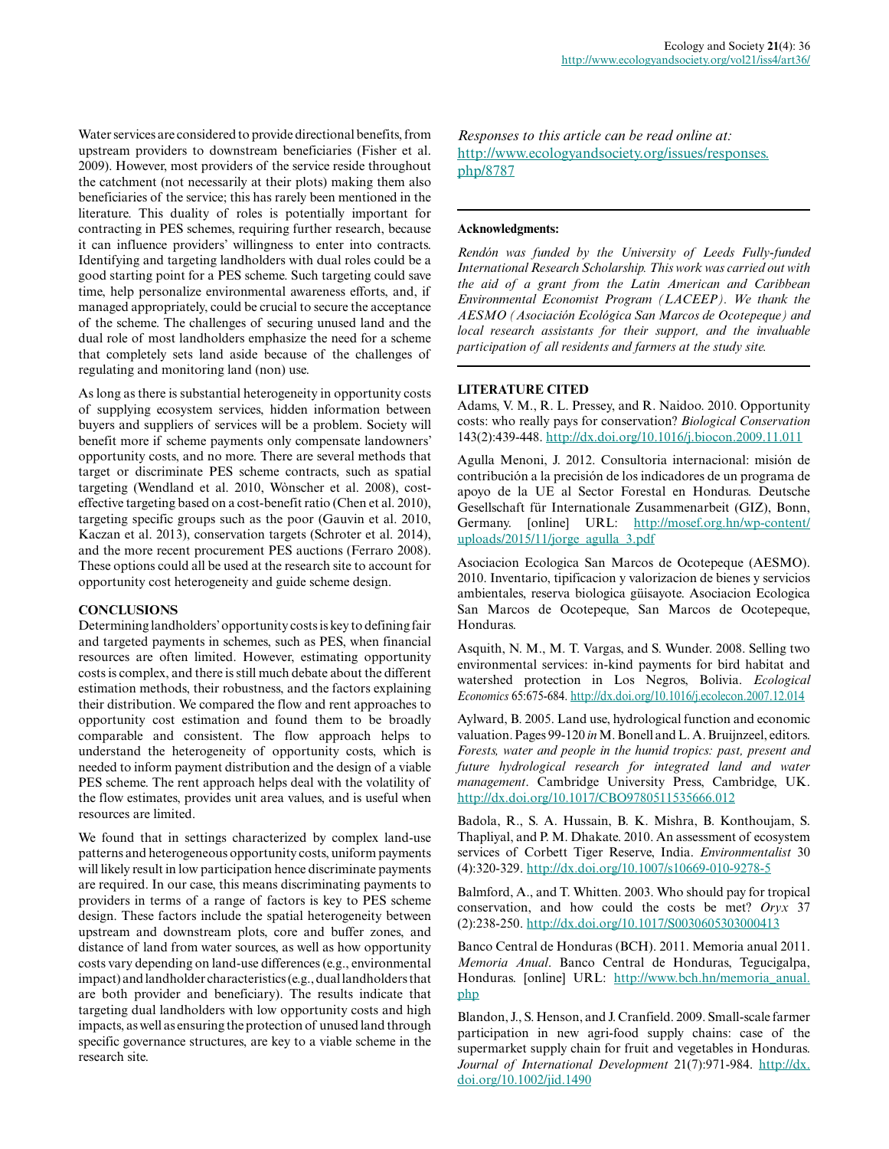Water services are considered to provide directional benefits, from upstream providers to downstream beneficiaries (Fisher et al. 2009). However, most providers of the service reside throughout the catchment (not necessarily at their plots) making them also beneficiaries of the service; this has rarely been mentioned in the literature. This duality of roles is potentially important for contracting in PES schemes, requiring further research, because it can influence providers' willingness to enter into contracts. Identifying and targeting landholders with dual roles could be a good starting point for a PES scheme. Such targeting could save time, help personalize environmental awareness efforts, and, if managed appropriately, could be crucial to secure the acceptance of the scheme. The challenges of securing unused land and the dual role of most landholders emphasize the need for a scheme that completely sets land aside because of the challenges of regulating and monitoring land (non) use.

As long as there is substantial heterogeneity in opportunity costs of supplying ecosystem services, hidden information between buyers and suppliers of services will be a problem. Society will benefit more if scheme payments only compensate landowners' opportunity costs, and no more. There are several methods that target or discriminate PES scheme contracts, such as spatial targeting (Wendland et al. 2010, Wònscher et al. 2008), costeffective targeting based on a cost-benefit ratio (Chen et al. 2010), targeting specific groups such as the poor (Gauvin et al. 2010, Kaczan et al. 2013), conservation targets (Schroter et al. 2014), and the more recent procurement PES auctions (Ferraro 2008). These options could all be used at the research site to account for opportunity cost heterogeneity and guide scheme design.

# **CONCLUSIONS**

Determining landholders' opportunity costs is key to defining fair and targeted payments in schemes, such as PES, when financial resources are often limited. However, estimating opportunity costs is complex, and there is still much debate about the different estimation methods, their robustness, and the factors explaining their distribution. We compared the flow and rent approaches to opportunity cost estimation and found them to be broadly comparable and consistent. The flow approach helps to understand the heterogeneity of opportunity costs, which is needed to inform payment distribution and the design of a viable PES scheme. The rent approach helps deal with the volatility of the flow estimates, provides unit area values, and is useful when resources are limited.

We found that in settings characterized by complex land-use patterns and heterogeneous opportunity costs, uniform payments will likely result in low participation hence discriminate payments are required. In our case, this means discriminating payments to providers in terms of a range of factors is key to PES scheme design. These factors include the spatial heterogeneity between upstream and downstream plots, core and buffer zones, and distance of land from water sources, as well as how opportunity costs vary depending on land-use differences (e.g., environmental impact) and landholder characteristics (e.g., dual landholders that are both provider and beneficiary). The results indicate that targeting dual landholders with low opportunity costs and high impacts, as well as ensuring the protection of unused land through specific governance structures, are key to a viable scheme in the research site.

*Responses to this article can be read online at:* [http://www.ecologyandsociety.org/issues/responses.](http://www.ecologyandsociety.org/issues/responses.php/8787) [php/8787](http://www.ecologyandsociety.org/issues/responses.php/8787)

#### **Acknowledgments:**

*Rendón was funded by the University of Leeds Fully-funded International Research Scholarship. This work was carried out with the aid of a grant from the Latin American and Caribbean Environmental Economist Program (LACEEP). We thank the AESMO (Asociación Ecológica San Marcos de Ocotepeque) and local research assistants for their support, and the invaluable participation of all residents and farmers at the study site.*

# **LITERATURE CITED**

Adams, V. M., R. L. Pressey, and R. Naidoo. 2010. Opportunity costs: who really pays for conservation? *Biological Conservation* 143(2):439-448. [http://dx.doi.org/10.1016/j.biocon.2009.11.011](http://dx.doi.org/10.1016%2Fj.biocon.2009.11.011)

Agulla Menoni, J. 2012. Consultoria internacional: misión de contribución a la precisión de los indicadores de un programa de apoyo de la UE al Sector Forestal en Honduras. Deutsche Gesellschaft für Internationale Zusammenarbeit (GIZ), Bonn, Germany. [online] URL: [http://mosef.org.hn/wp-content/](http://mosef.org.hn/wp-content/uploads/2015/11/jorge_agulla_3.pdf) [uploads/2015/11/jorge\\_agulla\\_3.pdf](http://mosef.org.hn/wp-content/uploads/2015/11/jorge_agulla_3.pdf)

Asociacion Ecologica San Marcos de Ocotepeque (AESMO). 2010. Inventario, tipificacion y valorizacion de bienes y servicios ambientales, reserva biologica güisayote. Asociacion Ecologica San Marcos de Ocotepeque, San Marcos de Ocotepeque, Honduras.

Asquith, N. M., M. T. Vargas, and S. Wunder. 2008. Selling two environmental services: in-kind payments for bird habitat and watershed protection in Los Negros, Bolivia. *Ecological Economics* 65:675-684. [http://dx.doi.org/10.1016/j.ecolecon.2007.12.014](http://dx.doi.org/10.1016%2Fj.ecolecon.2007.12.014)

Aylward, B. 2005. Land use, hydrological function and economic valuation. Pages 99-120 *in* M. Bonell and L. A. Bruijnzeel, editors. *Forests, water and people in the humid tropics: past, present and future hydrological research for integrated land and water management*. Cambridge University Press, Cambridge, UK. [http://dx.doi.org/10.1017/CBO9780511535666.012](http://dx.doi.org/10.1017%2FCBO9780511535666.012)

Badola, R., S. A. Hussain, B. K. Mishra, B. Konthoujam, S. Thapliyal, and P. M. Dhakate. 2010. An assessment of ecosystem services of Corbett Tiger Reserve, India. *Environmentalist* 30 (4):320-329. [http://dx.doi.org/10.1007/s10669-010-9278-5](http://dx.doi.org/10.1007%2Fs10669-010-9278-5) 

Balmford, A., and T. Whitten. 2003. Who should pay for tropical conservation, and how could the costs be met? *Oryx* 37 (2):238-250. [http://dx.doi.org/10.1017/S0030605303000413](http://dx.doi.org/10.1017%2FS0030605303000413) 

Banco Central de Honduras (BCH). 2011. Memoria anual 2011. *Memoria Anual*. Banco Central de Honduras, Tegucigalpa, Honduras. [online] URL: [http://www.bch.hn/memoria\\_anual.](http://www.bch.hn/memoria_anual.php) [php](http://www.bch.hn/memoria_anual.php) 

Blandon, J., S. Henson, and J. Cranfield. 2009. Small-scale farmer participation in new agri-food supply chains: case of the supermarket supply chain for fruit and vegetables in Honduras. *Journal of International Development* 21(7):971-984. [http://dx.](http://dx.doi.org/10.1002%2Fjid.1490) [doi.org/10.1002/jid.1490](http://dx.doi.org/10.1002%2Fjid.1490)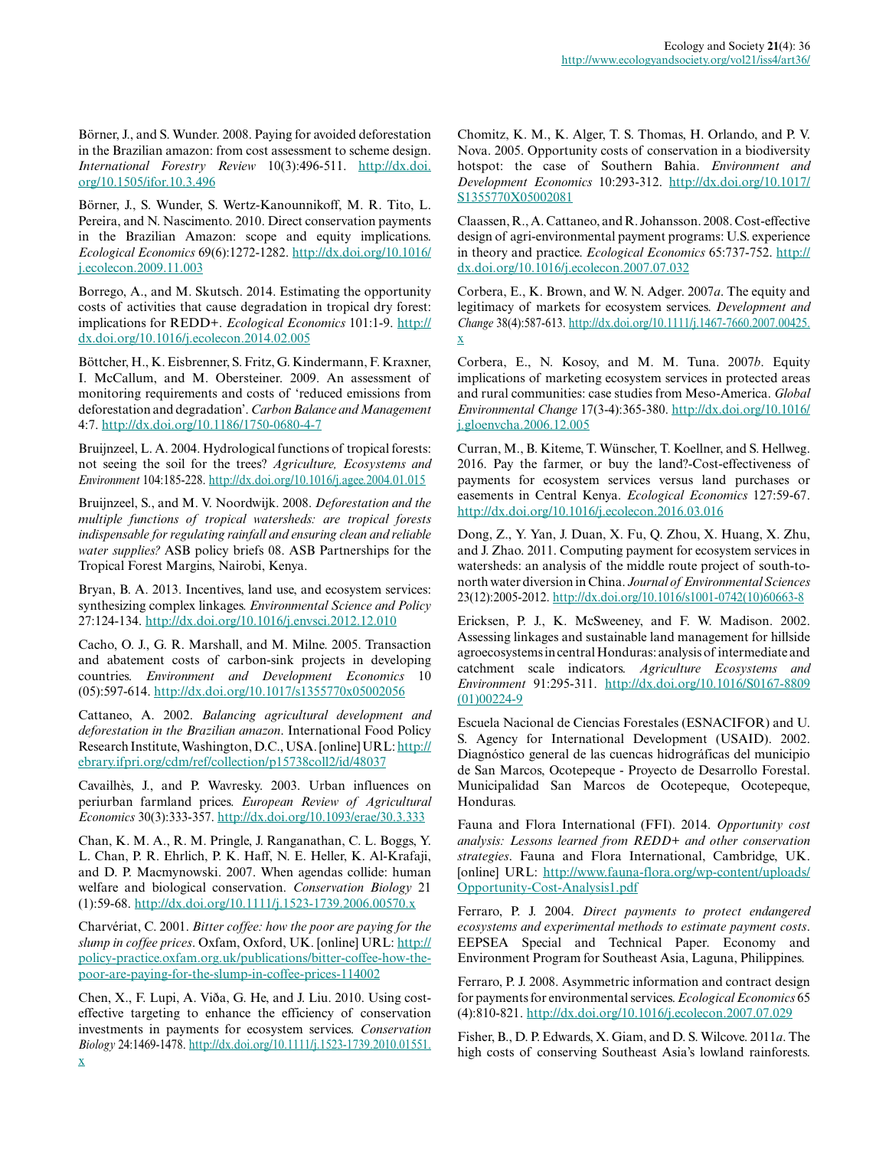Börner, J., and S. Wunder. 2008. Paying for avoided deforestation in the Brazilian amazon: from cost assessment to scheme design. *International Forestry Review* 10(3):496-511. [http://dx.doi.](http://dx.doi.org/10.1505%2Fifor.10.3.496) [org/10.1505/ifor.10.3.496](http://dx.doi.org/10.1505%2Fifor.10.3.496)

Börner, J., S. Wunder, S. Wertz-Kanounnikoff, M. R. Tito, L. Pereira, and N. Nascimento. 2010. Direct conservation payments in the Brazilian Amazon: scope and equity implications. *Ecological Economics* 69(6):1272-1282. [http://dx.doi.org/10.1016/](http://dx.doi.org/10.1016%2Fj.ecolecon.2009.11.003) [j.ecolecon.2009.11.003](http://dx.doi.org/10.1016%2Fj.ecolecon.2009.11.003) 

Borrego, A., and M. Skutsch. 2014. Estimating the opportunity costs of activities that cause degradation in tropical dry forest: implications for REDD+. *Ecological Economics* 101:1-9. [http://](http://dx.doi.org/10.1016%2Fj.ecolecon.2014.02.005) [dx.doi.org/10.1016/j.ecolecon.2014.02.005](http://dx.doi.org/10.1016%2Fj.ecolecon.2014.02.005) 

Böttcher, H., K. Eisbrenner, S. Fritz, G. Kindermann, F. Kraxner, I. McCallum, and M. Obersteiner. 2009. An assessment of monitoring requirements and costs of 'reduced emissions from deforestation and degradation'. *Carbon Balance and Management* 4:7. [http://dx.doi.org/10.1186/1750-0680-4-7](http://dx.doi.org/10.1186%2F1750-0680-4-7)

Bruijnzeel, L. A. 2004. Hydrological functions of tropical forests: not seeing the soil for the trees? *Agriculture, Ecosystems and Environment* 104:185-228. [http://dx.doi.org/10.1016/j.agee.2004.01.015](http://dx.doi.org/10.1016%2Fj.agee.2004.01.015) 

Bruijnzeel, S., and M. V. Noordwijk. 2008. *Deforestation and the multiple functions of tropical watersheds: are tropical forests indispensable for regulating rainfall and ensuring clean and reliable water supplies?* ASB policy briefs 08. ASB Partnerships for the Tropical Forest Margins, Nairobi, Kenya.

Bryan, B. A. 2013. Incentives, land use, and ecosystem services: synthesizing complex linkages. *Environmental Science and Policy* 27:124-134. [http://dx.doi.org/10.1016/j.envsci.2012.12.010](http://dx.doi.org/10.1016%2Fj.envsci.2012.12.010)

Cacho, O. J., G. R. Marshall, and M. Milne. 2005. Transaction and abatement costs of carbon-sink projects in developing countries. *Environment and Development Economics* 10 (05):597-614. [http://dx.doi.org/10.1017/s1355770x05002056](http://dx.doi.org/10.1017%2Fs1355770x05002056) 

Cattaneo, A. 2002. *Balancing agricultural development and deforestation in the Brazilian amazon*. International Food Policy Research Institute, Washington, D.C., USA. [online] URL: [http://](http://ebrary.ifpri.org/cdm/ref/collection/p15738coll2/id/48037) [ebrary.ifpri.org/cdm/ref/collection/p15738coll2/id/48037](http://ebrary.ifpri.org/cdm/ref/collection/p15738coll2/id/48037) 

Cavailhès, J., and P. Wavresky. 2003. Urban influences on periurban farmland prices. *European Review of Agricultural Economics* 30(3):333-357. [http://dx.doi.org/10.1093/erae/30.3.333](http://dx.doi.org/10.1093%2Ferae%2F30.3.333) 

Chan, K. M. A., R. M. Pringle, J. Ranganathan, C. L. Boggs, Y. L. Chan, P. R. Ehrlich, P. K. Haff, N. E. Heller, K. Al-Krafaji, and D. P. Macmynowski. 2007. When agendas collide: human welfare and biological conservation. *Conservation Biology* 21 (1):59-68. [http://dx.doi.org/10.1111/j.1523-1739.2006.00570.x](http://dx.doi.org/10.1111%2Fj.1523-1739.2006.00570.x)

Charvériat, C. 2001. *Bitter coffee: how the poor are paying for the slump in coffee prices*. Oxfam, Oxford, UK. [online] URL: [http://](http://policy-practice.oxfam.org.uk/publications/bitter-coffee-how-the-poor-are-paying-for-the-slump-in-coffee-prices-114002) [policy-practice.oxfam.org.uk/publications/bitter-coffee-how-the](http://policy-practice.oxfam.org.uk/publications/bitter-coffee-how-the-poor-are-paying-for-the-slump-in-coffee-prices-114002)[poor-are-paying-for-the-slump-in-coffee-prices-114002](http://policy-practice.oxfam.org.uk/publications/bitter-coffee-how-the-poor-are-paying-for-the-slump-in-coffee-prices-114002) 

Chen, X., F. Lupi, A. Viða, G. He, and J. Liu. 2010. Using costeffective targeting to enhance the efficiency of conservation investments in payments for ecosystem services. *Conservation Biology* 24:1469-1478. [http://dx.doi.org/10.1111/j.1523-1739.2010.01551.](http://dx.doi.org/10.1111%2Fj.1523-1739.2010.01551.x) Chomitz, K. M., K. Alger, T. S. Thomas, H. Orlando, and P. V. Nova. 2005. Opportunity costs of conservation in a biodiversity hotspot: the case of Southern Bahia. *Environment and Development Economics* 10:293-312. [http://dx.doi.org/10.1017/](http://dx.doi.org/10.1017%2FS1355770X05002081) [S1355770X05002081](http://dx.doi.org/10.1017%2FS1355770X05002081)

Claassen, R., A. Cattaneo, and R. Johansson. 2008. Cost-effective design of agri-environmental payment programs: U.S. experience in theory and practice. *Ecological Economics* 65:737-752. [http://](http://dx.doi.org/10.1016%2Fj.ecolecon.2007.07.032) [dx.doi.org/10.1016/j.ecolecon.2007.07.032](http://dx.doi.org/10.1016%2Fj.ecolecon.2007.07.032) 

Corbera, E., K. Brown, and W. N. Adger. 2007*a*. The equity and legitimacy of markets for ecosystem services. *Development and Change* 38(4):587-613. [http://dx.doi.org/10.1111/j.1467-7660.2007.00425.](http://dx.doi.org/10.1111%2Fj.1467-7660.2007.00425.x) [x](http://dx.doi.org/10.1111%2Fj.1467-7660.2007.00425.x) 

Corbera, E., N. Kosoy, and M. M. Tuna. 2007*b*. Equity implications of marketing ecosystem services in protected areas and rural communities: case studies from Meso-America. *Global Environmental Change* 17(3-4):365-380. [http://dx.doi.org/10.1016/](http://dx.doi.org/10.1016%2Fj.gloenvcha.2006.12.005) [j.gloenvcha.2006.12.005](http://dx.doi.org/10.1016%2Fj.gloenvcha.2006.12.005) 

Curran, M., B. Kiteme, T. Wünscher, T. Koellner, and S. Hellweg. 2016. Pay the farmer, or buy the land?-Cost-effectiveness of payments for ecosystem services versus land purchases or easements in Central Kenya. *Ecological Economics* 127:59-67. [http://dx.doi.org/10.1016/j.ecolecon.2016.03.016](http://dx.doi.org/10.1016%2Fj.ecolecon.2016.03.016)

Dong, Z., Y. Yan, J. Duan, X. Fu, Q. Zhou, X. Huang, X. Zhu, and J. Zhao. 2011. Computing payment for ecosystem services in watersheds: an analysis of the middle route project of south-tonorth water diversion in China. *Journal of Environmental Sciences* 23(12):2005-2012. [http://dx.doi.org/10.1016/s1001-0742\(10\)60663-8](http://dx.doi.org/10.1016%2Fs1001-0742%2810%2960663-8) 

Ericksen, P. J., K. McSweeney, and F. W. Madison. 2002. Assessing linkages and sustainable land management for hillside agroecosystems in central Honduras: analysis of intermediate and catchment scale indicators. *Agriculture Ecosystems and Environment* 91:295-311. [http://dx.doi.org/10.1016/S0167-8809](http://dx.doi.org/10.1016/S0167-8809(01)00224-9) [\(01\)00224-9](http://dx.doi.org/10.1016/S0167-8809(01)00224-9) 

Escuela Nacional de Ciencias Forestales (ESNACIFOR) and U. S. Agency for International Development (USAID). 2002. Diagnóstico general de las cuencas hidrográficas del municipio de San Marcos, Ocotepeque - Proyecto de Desarrollo Forestal. Municipalidad San Marcos de Ocotepeque, Ocotepeque, Honduras.

Fauna and Flora International (FFI). 2014. *Opportunity cost analysis: Lessons learned from REDD+ and other conservation strategies*. Fauna and Flora International, Cambridge, UK. [online] URL: [http://www.fauna-flora.org/wp-content/uploads/](http://www.fauna-flora.org/wp-content/uploads/Opportunity-Cost-Analysis1.pdf) [Opportunity-Cost-Analysis1.pdf](http://www.fauna-flora.org/wp-content/uploads/Opportunity-Cost-Analysis1.pdf)

Ferraro, P. J. 2004. *Direct payments to protect endangered ecosystems and experimental methods to estimate payment costs*. EEPSEA Special and Technical Paper. Economy and Environment Program for Southeast Asia, Laguna, Philippines.

Ferraro, P. J. 2008. Asymmetric information and contract design for payments for environmental services. *Ecological Economics* 65 (4):810-821. [http://dx.doi.org/10.1016/j.ecolecon.2007.07.029](http://dx.doi.org/10.1016%2Fj.ecolecon.2007.07.029) 

Fisher, B., D. P. Edwards, X. Giam, and D. S. Wilcove. 2011*a*. The high costs of conserving Southeast Asia's lowland rainforests.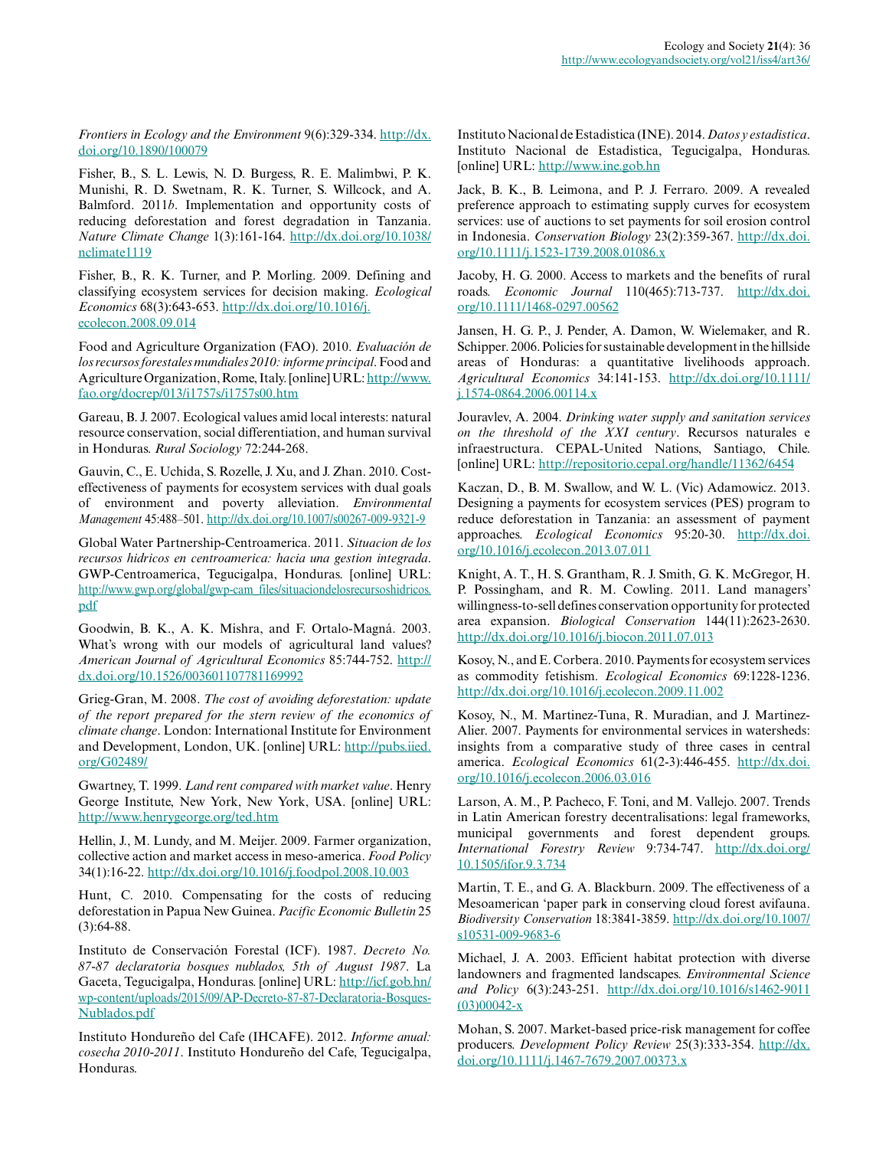*Frontiers in Ecology and the Environment* 9(6):329-334. [http://dx.](http://dx.doi.org/10.1890%2F100079) [doi.org/10.1890/100079](http://dx.doi.org/10.1890%2F100079)

Fisher, B., S. L. Lewis, N. D. Burgess, R. E. Malimbwi, P. K. Munishi, R. D. Swetnam, R. K. Turner, S. Willcock, and A. Balmford. 2011*b*. Implementation and opportunity costs of reducing deforestation and forest degradation in Tanzania. *Nature Climate Change* 1(3):161-164. [http://dx.doi.org/10.1038/](http://dx.doi.org/10.1038%2Fnclimate1119) [nclimate1119](http://dx.doi.org/10.1038%2Fnclimate1119)

Fisher, B., R. K. Turner, and P. Morling. 2009. Defining and classifying ecosystem services for decision making. *Ecological Economics* 68(3):643-653. [http://dx.doi.org/10.1016/j.](http://dx.doi.org/10.1016%2Fj.ecolecon.2008.09.014) [ecolecon.2008.09.014](http://dx.doi.org/10.1016%2Fj.ecolecon.2008.09.014) 

Food and Agriculture Organization (FAO). 2010. *Evaluación de los recursos forestales mundiales 2010: informe principal*. Food and Agriculture Organization, Rome, Italy. [online] URL: [http://www.](http://www.fao.org/docrep/013/i1757s/i1757s00.htm) [fao.org/docrep/013/i1757s/i1757s00.htm](http://www.fao.org/docrep/013/i1757s/i1757s00.htm) 

Gareau, B. J. 2007. Ecological values amid local interests: natural resource conservation, social differentiation, and human survival in Honduras. *Rural Sociology* 72:244-268.

Gauvin, C., E. Uchida, S. Rozelle, J. Xu, and J. Zhan. 2010. Costeffectiveness of payments for ecosystem services with dual goals of environment and poverty alleviation. *Environmental Management* 45:488–501.<http://dx.doi.org/10.1007/s00267-009-9321-9>

Global Water Partnership-Centroamerica. 2011. *Situacion de los recursos hidricos en centroamerica: hacia una gestion integrada*. GWP-Centroamerica, Tegucigalpa, Honduras. [online] URL: [http://www.gwp.org/global/gwp-cam\\_files/situaciondelosrecursoshidricos.](http://www.gwp.org/global/gwp-cam_files/situaciondelosrecursoshidricos.pdf) [pdf](http://www.gwp.org/global/gwp-cam_files/situaciondelosrecursoshidricos.pdf)

Goodwin, B. K., A. K. Mishra, and F. Ortalo-Magná. 2003. What's wrong with our models of agricultural land values? *American Journal of Agricultural Economics* 85:744-752. [http://](http://dx.doi.org/10.1526/003601107781169992) [dx.doi.org/10.1526/003601107781169992](http://dx.doi.org/10.1526/003601107781169992) 

Grieg-Gran, M. 2008. *The cost of avoiding deforestation: update of the report prepared for the stern review of the economics of climate change*. London: International Institute for Environment and Development, London, UK. [online] URL: [http://pubs.iied.](http://pubs.iied.org/G02489/) [org/G02489/](http://pubs.iied.org/G02489/) 

Gwartney, T. 1999. *Land rent compared with market value*. Henry George Institute, New York, New York, USA. [online] URL: <http://www.henrygeorge.org/ted.htm>

Hellin, J., M. Lundy, and M. Meijer. 2009. Farmer organization, collective action and market access in meso-america. *Food Policy* 34(1):16-22. [http://dx.doi.org/10.1016/j.foodpol.2008.10.003](http://dx.doi.org/10.1016%2Fj.foodpol.2008.10.003) 

Hunt, C. 2010. Compensating for the costs of reducing deforestation in Papua New Guinea. *Pacific Economic Bulletin* 25 (3):64-88.

Instituto de Conservación Forestal (ICF). 1987. *Decreto No. 87-87 declaratoria bosques nublados, 5th of August 1987*. La Gaceta, Tegucigalpa, Honduras. [online] URL: [http://icf.gob.hn/](http://icf.gob.hn/wp-content/uploads/2015/09/AP-Decreto-87-87-Declaratoria-Bosques-Nublados.pdf) [wp-content/uploads/2015/09/AP-Decreto-87-87-Declaratoria-Bosques-](http://icf.gob.hn/wp-content/uploads/2015/09/AP-Decreto-87-87-Declaratoria-Bosques-Nublados.pdf)[Nublados.pdf](http://icf.gob.hn/wp-content/uploads/2015/09/AP-Decreto-87-87-Declaratoria-Bosques-Nublados.pdf)

Instituto Hondureño del Cafe (IHCAFE). 2012. *Informe anual: cosecha 2010-2011*. Instituto Hondureño del Cafe, Tegucigalpa, Honduras.

Instituto Nacional de Estadistica (INE). 2014. *Datos y estadistica*. Instituto Nacional de Estadistica, Tegucigalpa, Honduras. [online] URL: <http://www.ine.gob.hn>

Jack, B. K., B. Leimona, and P. J. Ferraro. 2009. A revealed preference approach to estimating supply curves for ecosystem services: use of auctions to set payments for soil erosion control in Indonesia. *Conservation Biology* 23(2):359-367. [http://dx.doi.](http://dx.doi.org/10.1111%2Fj.1523-1739.2008.01086.x) [org/10.1111/j.1523-1739.2008.01086.x](http://dx.doi.org/10.1111%2Fj.1523-1739.2008.01086.x)

Jacoby, H. G. 2000. Access to markets and the benefits of rural roads. *Economic Journal* 110(465):713-737. [http://dx.doi.](http://dx.doi.org/10.1111%2F1468-0297.00562) [org/10.1111/1468-0297.00562](http://dx.doi.org/10.1111%2F1468-0297.00562)

Jansen, H. G. P., J. Pender, A. Damon, W. Wielemaker, and R. Schipper. 2006. Policies for sustainable development in the hillside areas of Honduras: a quantitative livelihoods approach. *Agricultural Economics* 34:141-153. [http://dx.doi.org/10.1111/](http://dx.doi.org/10.1111/j.1574-0864.2006.00114.x) [j.1574-0864.2006.00114.x](http://dx.doi.org/10.1111/j.1574-0864.2006.00114.x)

Jouravlev, A. 2004. *Drinking water supply and sanitation services on the threshold of the XXI century*. Recursos naturales e infraestructura. CEPAL-United Nations, Santiago, Chile. [online] URL: <http://repositorio.cepal.org/handle/11362/6454>

Kaczan, D., B. M. Swallow, and W. L. (Vic) Adamowicz. 2013. Designing a payments for ecosystem services (PES) program to reduce deforestation in Tanzania: an assessment of payment approaches. *Ecological Economics* 95:20-30. [http://dx.doi.](http://dx.doi.org/10.1016/j.ecolecon.2013.07.011) [org/10.1016/j.ecolecon.2013.07.011](http://dx.doi.org/10.1016/j.ecolecon.2013.07.011) 

Knight, A. T., H. S. Grantham, R. J. Smith, G. K. McGregor, H. P. Possingham, and R. M. Cowling. 2011. Land managers' willingness-to-sell defines conservation opportunity for protected area expansion. *Biological Conservation* 144(11):2623-2630. [http://dx.doi.org/10.1016/j.biocon.2011.07.013](http://dx.doi.org/10.1016%2Fj.biocon.2011.07.013)

Kosoy, N., and E. Corbera. 2010. Payments for ecosystem services as commodity fetishism. *Ecological Economics* 69:1228-1236. [http://dx.doi.org/10.1016/j.ecolecon.2009.11.002](http://dx.doi.org/10.1016%2Fj.ecolecon.2009.11.002)

Kosoy, N., M. Martinez-Tuna, R. Muradian, and J. Martinez-Alier. 2007. Payments for environmental services in watersheds: insights from a comparative study of three cases in central america. *Ecological Economics* 61(2-3):446-455. [http://dx.doi.](http://dx.doi.org/10.1016%2Fj.ecolecon.2006.03.016) [org/10.1016/j.ecolecon.2006.03.016](http://dx.doi.org/10.1016%2Fj.ecolecon.2006.03.016) 

Larson, A. M., P. Pacheco, F. Toni, and M. Vallejo. 2007. Trends in Latin American forestry decentralisations: legal frameworks, municipal governments and forest dependent groups. *International Forestry Review* 9:734-747. [http://dx.doi.org/](http://dx.doi.org/ 10.1505/ifor.9.3.734) [10.1505/ifor.9.3.734](http://dx.doi.org/ 10.1505/ifor.9.3.734) 

Martin, T. E., and G. A. Blackburn. 2009. The effectiveness of a Mesoamerican 'paper park in conserving cloud forest avifauna. *Biodiversity Conservation* 18:3841-3859. [http://dx.doi.org/10.1007/](http://dx.doi.org/10.1007%2Fs10531-009-9683-6) [s10531-009-9683-6](http://dx.doi.org/10.1007%2Fs10531-009-9683-6) 

Michael, J. A. 2003. Efficient habitat protection with diverse landowners and fragmented landscapes. *Environmental Science and Policy* 6(3):243-251. [http://dx.doi.org/10.1016/s1462-9011](http://dx.doi.org/10.1016%2Fs1462-9011%2803%2900042-x) [\(03\)00042-x](http://dx.doi.org/10.1016%2Fs1462-9011%2803%2900042-x) 

Mohan, S. 2007. Market-based price-risk management for coffee producers. *Development Policy Review* 25(3):333-354. [http://dx.](http://dx.doi.org/10.1111%2Fj.1467-7679.2007.00373.x) [doi.org/10.1111/j.1467-7679.2007.00373.x](http://dx.doi.org/10.1111%2Fj.1467-7679.2007.00373.x)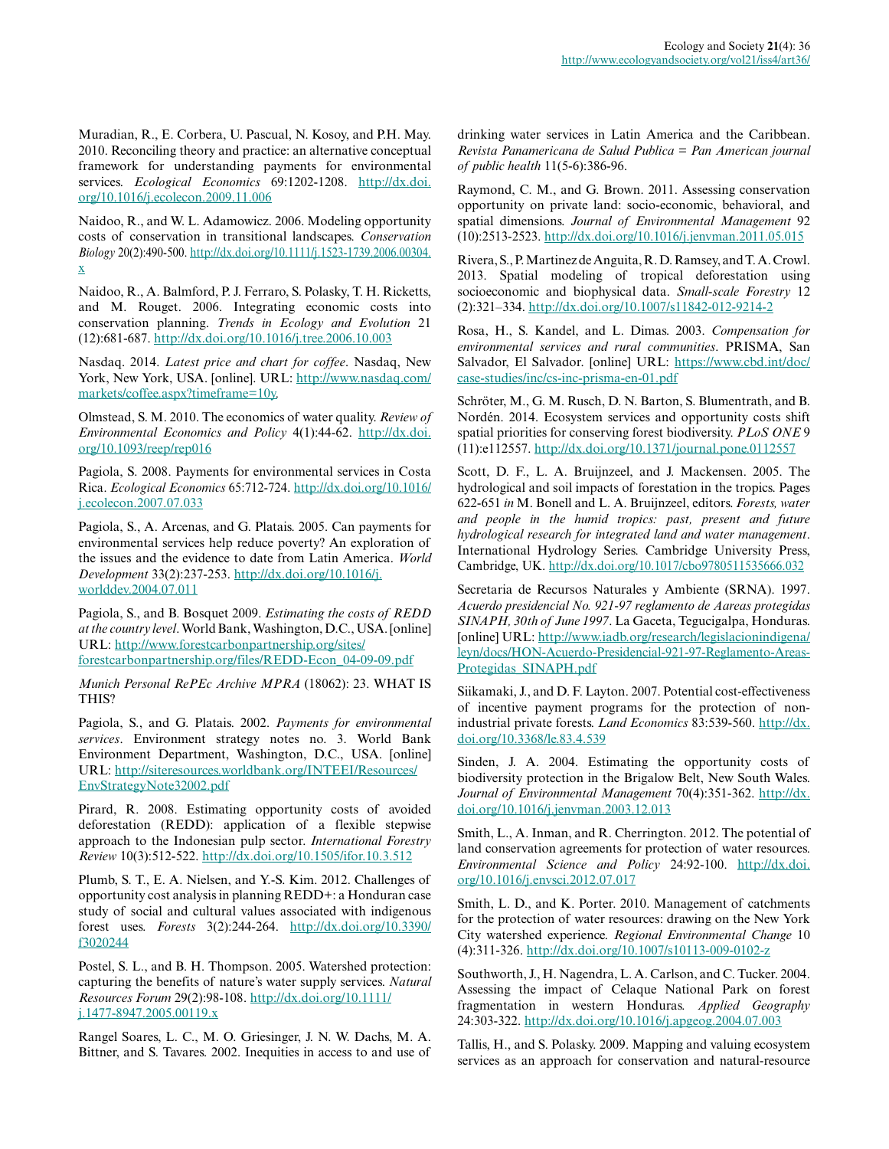Muradian, R., E. Corbera, U. Pascual, N. Kosoy, and P.H. May. 2010. Reconciling theory and practice: an alternative conceptual framework for understanding payments for environmental services. *Ecological Economics* 69:1202-1208. [http://dx.doi.](http://dx.doi.org/10.1016%2Fj.ecolecon.2009.11.006) [org/10.1016/j.ecolecon.2009.11.006](http://dx.doi.org/10.1016%2Fj.ecolecon.2009.11.006) 

Naidoo, R., and W. L. Adamowicz. 2006. Modeling opportunity costs of conservation in transitional landscapes. *Conservation Biology* 20(2):490-500. [http://dx.doi.org/10.1111/j.1523-1739.2006.00304.](http://dx.doi.org/10.1111%2Fj.1523-1739.2006.00304.x) [x](http://dx.doi.org/10.1111%2Fj.1523-1739.2006.00304.x)

Naidoo, R., A. Balmford, P. J. Ferraro, S. Polasky, T. H. Ricketts, and M. Rouget. 2006. Integrating economic costs into conservation planning. *Trends in Ecology and Evolution* 21 (12):681-687.<http://dx.doi.org/10.1016/j.tree.2006.10.003>

Nasdaq. 2014. *Latest price and chart for coffee*. Nasdaq, New York, New York, USA. [online]. URL: [http://www.nasdaq.com/](http://www.nasdaq.com/markets/coffee.aspx?timeframe=10y) [markets/coffee.aspx?timeframe=10y.](http://www.nasdaq.com/markets/coffee.aspx?timeframe=10y)

Olmstead, S. M. 2010. The economics of water quality. *Review of Environmental Economics and Policy* 4(1):44-62. [http://dx.doi.](http://dx.doi.org/10.1093%2Freep%2Frep016) [org/10.1093/reep/rep016](http://dx.doi.org/10.1093%2Freep%2Frep016) 

Pagiola, S. 2008. Payments for environmental services in Costa Rica. *Ecological Economics* 65:712-724. [http://dx.doi.org/10.1016/](http://dx.doi.org/10.1016%2Fj.ecolecon.2007.07.033) [j.ecolecon.2007.07.033](http://dx.doi.org/10.1016%2Fj.ecolecon.2007.07.033) 

Pagiola, S., A. Arcenas, and G. Platais. 2005. Can payments for environmental services help reduce poverty? An exploration of the issues and the evidence to date from Latin America. *World Development* 33(2):237-253. [http://dx.doi.org/10.1016/j.](http://dx.doi.org/10.1016%2Fj.worlddev.2004.07.011) [worlddev.2004.07.011](http://dx.doi.org/10.1016%2Fj.worlddev.2004.07.011)

Pagiola, S., and B. Bosquet 2009. *Estimating the costs of REDD at the country level*. World Bank, Washington, D.C., USA. [online] URL: [http://www.forestcarbonpartnership.org/sites/](http://www.forestcarbonpartnership.org/sites/forestcarbonpartnership.org/files/REDD-Econ_04-09-09.pdf) [forestcarbonpartnership.org/files/REDD-Econ\\_04-09-09.pdf](http://www.forestcarbonpartnership.org/sites/forestcarbonpartnership.org/files/REDD-Econ_04-09-09.pdf)

*Munich Personal RePEc Archive MPRA* (18062): 23. WHAT IS THIS?

Pagiola, S., and G. Platais. 2002. *Payments for environmental services*. Environment strategy notes no. 3. World Bank Environment Department, Washington, D.C., USA. [online] URL: [http://siteresources.worldbank.org/INTEEI/Resources/](http://siteresources.worldbank.org/INTEEI/Resources/EnvStrategyNote32002.pdf) [EnvStrategyNote32002.pdf](http://siteresources.worldbank.org/INTEEI/Resources/EnvStrategyNote32002.pdf)

Pirard, R. 2008. Estimating opportunity costs of avoided deforestation (REDD): application of a flexible stepwise approach to the Indonesian pulp sector. *International Forestry Review* 10(3):512-522. [http://dx.doi.org/10.1505/ifor.10.3.512](http://dx.doi.org/10.1505%2Fifor.10.3.512) 

Plumb, S. T., E. A. Nielsen, and Y.-S. Kim. 2012. Challenges of opportunity cost analysis in planning REDD+: a Honduran case study of social and cultural values associated with indigenous forest uses. *Forests* 3(2):244-264. [http://dx.doi.org/10.3390/](http://dx.doi.org/10.3390%2Ff3020244) [f3020244](http://dx.doi.org/10.3390%2Ff3020244)

Postel, S. L., and B. H. Thompson. 2005. Watershed protection: capturing the benefits of nature's water supply services. *Natural Resources Forum* 29(2):98-108. [http://dx.doi.org/10.1111/](http://dx.doi.org/10.1111%2Fj.1477-8947.2005.00119.x) [j.1477-8947.2005.00119.x](http://dx.doi.org/10.1111%2Fj.1477-8947.2005.00119.x)

Rangel Soares, L. C., M. O. Griesinger, J. N. W. Dachs, M. A. Bittner, and S. Tavares. 2002. Inequities in access to and use of drinking water services in Latin America and the Caribbean. *Revista Panamericana de Salud Publica = Pan American journal of public health* 11(5-6):386-96.

Raymond, C. M., and G. Brown. 2011. Assessing conservation opportunity on private land: socio-economic, behavioral, and spatial dimensions. *Journal of Environmental Management* 92 (10):2513-2523. [http://dx.doi.org/10.1016/j.jenvman.2011.05.015](http://dx.doi.org/10.1016%2Fj.jenvman.2011.05.015) 

Rivera, S., P. Martinez de Anguita, R. D. Ramsey, and T. A. Crowl. 2013. Spatial modeling of tropical deforestation using socioeconomic and biophysical data. *Small-scale Forestry* 12 (2):321–334.<http://dx.doi.org/10.1007/s11842-012-9214-2>

Rosa, H., S. Kandel, and L. Dimas. 2003. *Compensation for environmental services and rural communities*. PRISMA, San Salvador, El Salvador. [online] URL: [https://www.cbd.int/doc/](https://www.cbd.int/doc/case-studies/inc/cs-inc-prisma-en-01.pdf) [case-studies/inc/cs-inc-prisma-en-01.pdf](https://www.cbd.int/doc/case-studies/inc/cs-inc-prisma-en-01.pdf)

Schröter, M., G. M. Rusch, D. N. Barton, S. Blumentrath, and B. Nordén. 2014. Ecosystem services and opportunity costs shift spatial priorities for conserving forest biodiversity. *PLoS ONE* 9 (11):e112557.<http://dx.doi.org/10.1371/journal.pone.0112557>

Scott, D. F., L. A. Bruijnzeel, and J. Mackensen. 2005. The hydrological and soil impacts of forestation in the tropics. Pages 622-651 *in* M. Bonell and L. A. Bruijnzeel, editors. *Forests, water and people in the humid tropics: past, present and future hydrological research for integrated land and water management*. International Hydrology Series. Cambridge University Press, Cambridge, UK. [http://dx.doi.org/10.1017/cbo9780511535666.032](http://dx.doi.org/10.1017%2Fcbo9780511535666.032) 

Secretaria de Recursos Naturales y Ambiente (SRNA). 1997. *Acuerdo presidencial No. 921-97 reglamento de Aareas protegidas SINAPH, 30th of June 1997*. La Gaceta, Tegucigalpa, Honduras. [online] URL: [http://www.iadb.org/research/legislacionindigena/](http://www.iadb.org/research/legislacionindigena/leyn/docs/HON-Acuerdo-Presidencial-921-97-Reglamento-Areas-Protegidas_SINAPH.pdf) [leyn/docs/HON-Acuerdo-Presidencial-921-97-Reglamento-Areas-](http://www.iadb.org/research/legislacionindigena/leyn/docs/HON-Acuerdo-Presidencial-921-97-Reglamento-Areas-Protegidas_SINAPH.pdf)[Protegidas\\_SINAPH.pdf](http://www.iadb.org/research/legislacionindigena/leyn/docs/HON-Acuerdo-Presidencial-921-97-Reglamento-Areas-Protegidas_SINAPH.pdf)

Siikamaki, J., and D. F. Layton. 2007. Potential cost-effectiveness of incentive payment programs for the protection of nonindustrial private forests. *Land Economics* 83:539-560. [http://dx.](http://dx.doi.org/10.3368%2Fle.83.4.539) [doi.org/10.3368/le.83.4.539](http://dx.doi.org/10.3368%2Fle.83.4.539)

Sinden, J. A. 2004. Estimating the opportunity costs of biodiversity protection in the Brigalow Belt, New South Wales. *Journal of Environmental Management* 70(4):351-362. [http://dx.](http://dx.doi.org/10.1016%2Fj.jenvman.2003.12.013) [doi.org/10.1016/j.jenvman.2003.12.013](http://dx.doi.org/10.1016%2Fj.jenvman.2003.12.013)

Smith, L., A. Inman, and R. Cherrington. 2012. The potential of land conservation agreements for protection of water resources. *Environmental Science and Policy* 24:92-100. [http://dx.doi.](http://dx.doi.org/10.1016%2Fj.envsci.2012.07.017) [org/10.1016/j.envsci.2012.07.017](http://dx.doi.org/10.1016%2Fj.envsci.2012.07.017) 

Smith, L. D., and K. Porter. 2010. Management of catchments for the protection of water resources: drawing on the New York City watershed experience. *Regional Environmental Change* 10 (4):311-326. [http://dx.doi.org/10.1007/s10113-009-0102-z](http://dx.doi.org/10.1007%2Fs10113-009-0102-z)

Southworth, J., H. Nagendra, L. A. Carlson, and C. Tucker. 2004. Assessing the impact of Celaque National Park on forest fragmentation in western Honduras. *Applied Geography* 24:303-322.<http://dx.doi.org/10.1016/j.apgeog.2004.07.003>

Tallis, H., and S. Polasky. 2009. Mapping and valuing ecosystem services as an approach for conservation and natural-resource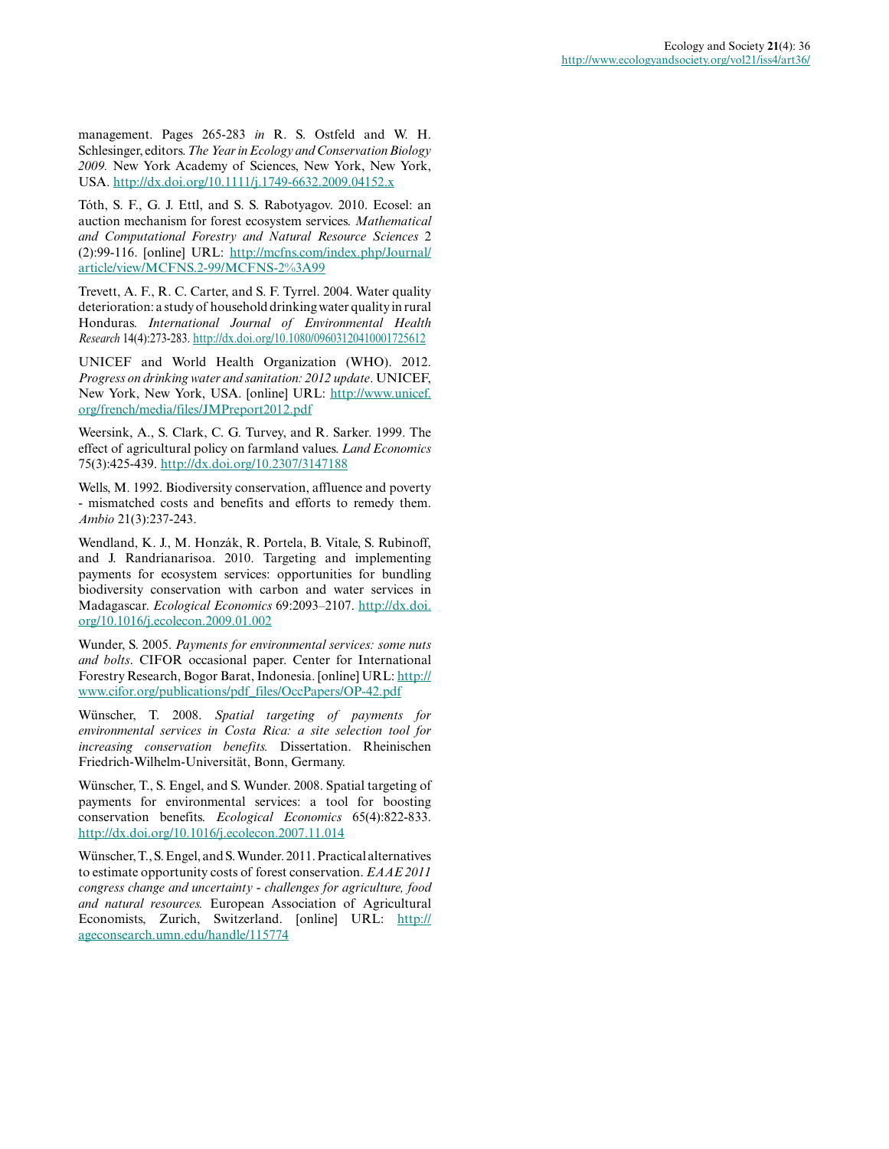management. Pages 265-283 *in* R. S. Ostfeld and W. H. Schlesinger, editors. *The Year in Ecology and Conservation Biology 2009.* New York Academy of Sciences, New York, New York, USA. [http://dx.doi.org/10.1111/j.1749-6632.2009.04152.x](http://dx.doi.org/10.1111%2Fj.1749-6632.2009.04152.x) 

Tóth, S. F., G. J. Ettl, and S. S. Rabotyagov. 2010. Ecosel: an auction mechanism for forest ecosystem services. *Mathematical and Computational Forestry and Natural Resource Sciences* 2 (2):99-116. [online] URL: [http://mcfns.com/index.php/Journal/](http://mcfns.com/index.php/Journal/article/view/MCFNS.2-99/MCFNS-2%3A99) [article/view/MCFNS.2-99/MCFNS-2%3A99](http://mcfns.com/index.php/Journal/article/view/MCFNS.2-99/MCFNS-2%3A99) 

Trevett, A. F., R. C. Carter, and S. F. Tyrrel. 2004. Water quality deterioration: a study of household drinking water quality in rural Honduras. *International Journal of Environmental Health Research* 14(4):273-283. [http://dx.doi.org/10.1080/09603120410001725612](http://dx.doi.org/10.1080%2F09603120410001725612)

UNICEF and World Health Organization (WHO). 2012. *Progress on drinking water and sanitation: 2012 update*. UNICEF, New York, New York, USA. [online] URL: [http://www.unicef.](http://www.unicef.org/french/media/files/JMPreport2012.pdf) [org/french/media/files/JMPreport2012.pdf](http://www.unicef.org/french/media/files/JMPreport2012.pdf)

Weersink, A., S. Clark, C. G. Turvey, and R. Sarker. 1999. The effect of agricultural policy on farmland values. *Land Economics* 75(3):425-439. [http://dx.doi.org/10.2307/3147188](http://dx.doi.org/10.2307%2F3147188)

Wells, M. 1992. Biodiversity conservation, affluence and poverty - mismatched costs and benefits and efforts to remedy them. *Ambio* 21(3):237-243.

Wendland, K. J., M. Honzák, R. Portela, B. Vitale, S. Rubinoff, and J. Randrianarisoa. 2010. Targeting and implementing payments for ecosystem services: opportunities for bundling biodiversity conservation with carbon and water services in Madagascar. *Ecological Economics* 69:2093–2107. [http://dx.doi.](http://dx.doi.org/10.1016/j.ecolecon.2009.01.002) [org/10.1016/j.ecolecon.2009.01.002](http://dx.doi.org/10.1016/j.ecolecon.2009.01.002) 

Wunder, S. 2005. *Payments for environmental services: some nuts and bolts*. CIFOR occasional paper. Center for International Forestry Research, Bogor Barat, Indonesia. [online] URL: [http://](http://www.cifor.org/publications/pdf_files/OccPapers/OP-42.pdf) [www.cifor.org/publications/pdf\\_files/OccPapers/OP-42.pdf](http://www.cifor.org/publications/pdf_files/OccPapers/OP-42.pdf)

Wünscher, T. 2008. *Spatial targeting of payments for environmental services in Costa Rica: a site selection tool for increasing conservation benefits.* Dissertation. Rheinischen Friedrich-Wilhelm-Universität, Bonn, Germany.

Wünscher, T., S. Engel, and S. Wunder. 2008. Spatial targeting of payments for environmental services: a tool for boosting conservation benefits. *Ecological Economics* 65(4):822-833. [http://dx.doi.org/10.1016/j.ecolecon.2007.11.014](http://dx.doi.org/10.1016%2Fj.ecolecon.2007.11.014)

Wünscher, T., S. Engel, and S. Wunder. 2011. Practical alternatives to estimate opportunity costs of forest conservation. *EAAE 2011 congress change and uncertainty - challenges for agriculture, food and natural resources.* European Association of Agricultural Economists, Zurich, Switzerland. [online] URL: [http://](http://ageconsearch.umn.edu/handle/115774) [ageconsearch.umn.edu/handle/115774](http://ageconsearch.umn.edu/handle/115774)